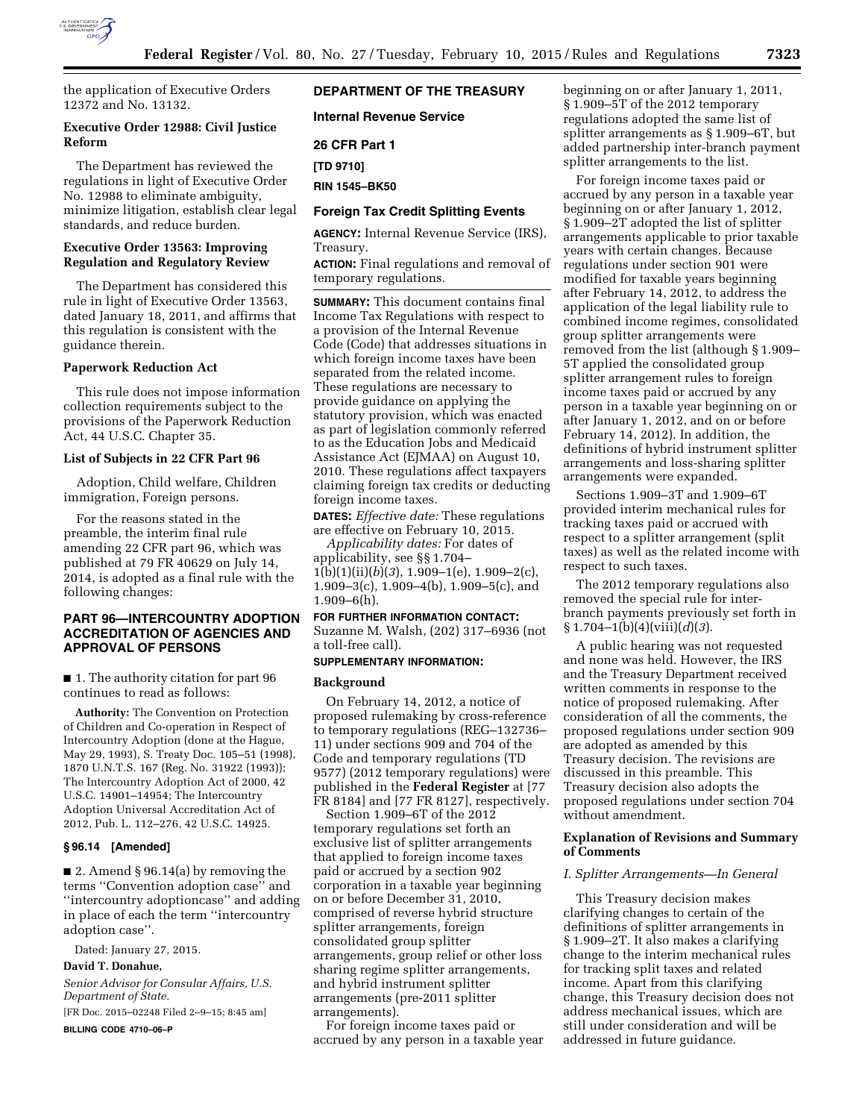

the application of Executive Orders 12372 and No. 13132.

# **Executive Order 12988: Civil Justice Reform**

The Department has reviewed the regulations in light of Executive Order No. 12988 to eliminate ambiguity, minimize litigation, establish clear legal standards, and reduce burden.

# **Executive Order 13563: Improving Regulation and Regulatory Review**

The Department has considered this rule in light of Executive Order 13563, dated January 18, 2011, and affirms that this regulation is consistent with the guidance therein.

#### **Paperwork Reduction Act**

This rule does not impose information collection requirements subject to the provisions of the Paperwork Reduction Act, 44 U.S.C. Chapter 35.

#### **List of Subjects in 22 CFR Part 96**

Adoption, Child welfare, Children immigration, Foreign persons.

For the reasons stated in the preamble, the interim final rule amending 22 CFR part 96, which was published at 79 FR 40629 on July 14, 2014, is adopted as a final rule with the following changes:

# **PART 96—INTERCOUNTRY ADOPTION ACCREDITATION OF AGENCIES AND APPROVAL OF PERSONS**

■ 1. The authority citation for part 96 continues to read as follows:

**Authority:** The Convention on Protection of Children and Co-operation in Respect of Intercountry Adoption (done at the Hague, May 29, 1993), S. Treaty Doc. 105–51 (1998), 1870 U.N.T.S. 167 (Reg. No. 31922 (1993)); The Intercountry Adoption Act of 2000, 42 U.S.C. 14901–14954; The Intercountry Adoption Universal Accreditation Act of 2012, Pub. L. 112–276, 42 U.S.C. 14925.

# **§ 96.14 [Amended]**

■ 2. Amend § 96.14(a) by removing the terms ''Convention adoption case'' and ''intercountry adoptioncase'' and adding in place of each the term ''intercountry adoption case''.

Dated: January 27, 2015.

#### **David T. Donahue,**

*Senior Advisor for Consular Affairs, U.S. Department of State.* 

[FR Doc. 2015–02248 Filed 2–9–15; 8:45 am] **BILLING CODE 4710–06–P** 

# **DEPARTMENT OF THE TREASURY**

**Internal Revenue Service** 

**26 CFR Part 1** 

**[TD 9710]** 

**RIN 1545–BK50** 

#### **Foreign Tax Credit Splitting Events**

**AGENCY:** Internal Revenue Service (IRS), Treasury.

**ACTION:** Final regulations and removal of temporary regulations.

**SUMMARY:** This document contains final Income Tax Regulations with respect to a provision of the Internal Revenue Code (Code) that addresses situations in which foreign income taxes have been separated from the related income. These regulations are necessary to provide guidance on applying the statutory provision, which was enacted as part of legislation commonly referred to as the Education Jobs and Medicaid Assistance Act (EJMAA) on August 10, 2010. These regulations affect taxpayers claiming foreign tax credits or deducting foreign income taxes.

**DATES:** *Effective date:* These regulations are effective on February 10, 2015.

*Applicability dates:* For dates of applicability, see §§ 1.704– 1(b)(1)(ii)(*b*)(*3*), 1.909–1(e), 1.909–2(c), 1.909–3(c), 1.909–4(b), 1.909–5(c), and 1.909–6(h).

# **FOR FURTHER INFORMATION CONTACT:**  Suzanne M. Walsh, (202) 317–6936 (not a toll-free call).

#### **SUPPLEMENTARY INFORMATION:**

#### **Background**

On February 14, 2012, a notice of proposed rulemaking by cross-reference to temporary regulations (REG–132736– 11) under sections 909 and 704 of the Code and temporary regulations (TD 9577) (2012 temporary regulations) were published in the **Federal Register** at [77 FR 8184] and [77 FR 8127], respectively.

Section 1.909–6T of the 2012 temporary regulations set forth an exclusive list of splitter arrangements that applied to foreign income taxes paid or accrued by a section 902 corporation in a taxable year beginning on or before December 31, 2010, comprised of reverse hybrid structure splitter arrangements, foreign consolidated group splitter arrangements, group relief or other loss sharing regime splitter arrangements, and hybrid instrument splitter arrangements (pre-2011 splitter arrangements).

For foreign income taxes paid or accrued by any person in a taxable year beginning on or after January 1, 2011, § 1.909–5T of the 2012 temporary regulations adopted the same list of splitter arrangements as § 1.909–6T, but added partnership inter-branch payment splitter arrangements to the list.

For foreign income taxes paid or accrued by any person in a taxable year beginning on or after January 1, 2012, § 1.909–2T adopted the list of splitter arrangements applicable to prior taxable years with certain changes. Because regulations under section 901 were modified for taxable years beginning after February 14, 2012, to address the application of the legal liability rule to combined income regimes, consolidated group splitter arrangements were removed from the list (although § 1.909– 5T applied the consolidated group splitter arrangement rules to foreign income taxes paid or accrued by any person in a taxable year beginning on or after January 1, 2012, and on or before February 14, 2012). In addition, the definitions of hybrid instrument splitter arrangements and loss-sharing splitter arrangements were expanded.

Sections 1.909–3T and 1.909–6T provided interim mechanical rules for tracking taxes paid or accrued with respect to a splitter arrangement (split taxes) as well as the related income with respect to such taxes.

The 2012 temporary regulations also removed the special rule for interbranch payments previously set forth in § 1.704–1(b)(4)(viii)(*d*)(*3*).

A public hearing was not requested and none was held. However, the IRS and the Treasury Department received written comments in response to the notice of proposed rulemaking. After consideration of all the comments, the proposed regulations under section 909 are adopted as amended by this Treasury decision. The revisions are discussed in this preamble. This Treasury decision also adopts the proposed regulations under section 704 without amendment.

### **Explanation of Revisions and Summary of Comments**

#### *I. Splitter Arrangements—In General*

This Treasury decision makes clarifying changes to certain of the definitions of splitter arrangements in § 1.909–2T. It also makes a clarifying change to the interim mechanical rules for tracking split taxes and related income. Apart from this clarifying change, this Treasury decision does not address mechanical issues, which are still under consideration and will be addressed in future guidance.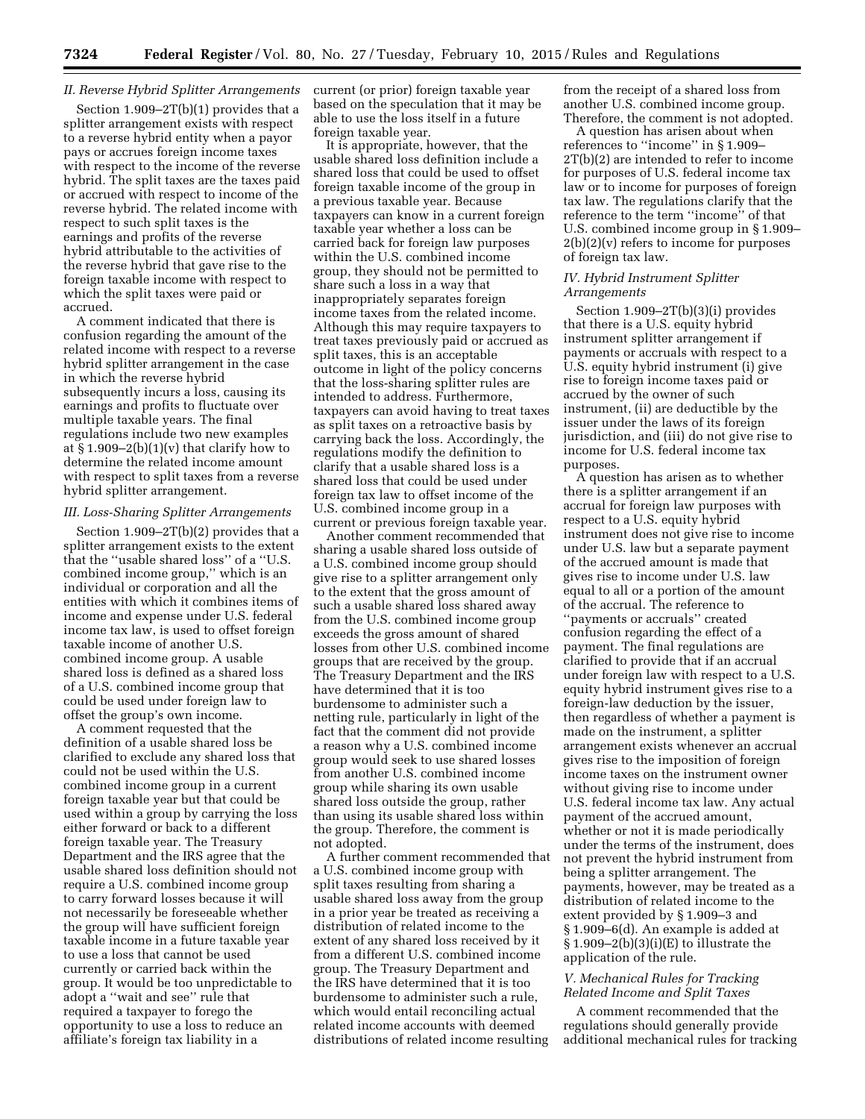#### *II. Reverse Hybrid Splitter Arrangements*

Section 1.909–2T(b)(1) provides that a splitter arrangement exists with respect to a reverse hybrid entity when a payor pays or accrues foreign income taxes with respect to the income of the reverse hybrid. The split taxes are the taxes paid or accrued with respect to income of the reverse hybrid. The related income with respect to such split taxes is the earnings and profits of the reverse hybrid attributable to the activities of the reverse hybrid that gave rise to the foreign taxable income with respect to which the split taxes were paid or accrued.

A comment indicated that there is confusion regarding the amount of the related income with respect to a reverse hybrid splitter arrangement in the case in which the reverse hybrid subsequently incurs a loss, causing its earnings and profits to fluctuate over multiple taxable years. The final regulations include two new examples at  $\S 1.909-2(b)(1)(v)$  that clarify how to determine the related income amount with respect to split taxes from a reverse hybrid splitter arrangement.

# *III. Loss-Sharing Splitter Arrangements*

Section 1.909–2T(b)(2) provides that a splitter arrangement exists to the extent that the ''usable shared loss'' of a ''U.S. combined income group,'' which is an individual or corporation and all the entities with which it combines items of income and expense under U.S. federal income tax law, is used to offset foreign taxable income of another U.S. combined income group. A usable shared loss is defined as a shared loss of a U.S. combined income group that could be used under foreign law to offset the group's own income.

A comment requested that the definition of a usable shared loss be clarified to exclude any shared loss that could not be used within the U.S. combined income group in a current foreign taxable year but that could be used within a group by carrying the loss either forward or back to a different foreign taxable year. The Treasury Department and the IRS agree that the usable shared loss definition should not require a U.S. combined income group to carry forward losses because it will not necessarily be foreseeable whether the group will have sufficient foreign taxable income in a future taxable year to use a loss that cannot be used currently or carried back within the group. It would be too unpredictable to adopt a ''wait and see'' rule that required a taxpayer to forego the opportunity to use a loss to reduce an affiliate's foreign tax liability in a

current (or prior) foreign taxable year based on the speculation that it may be able to use the loss itself in a future foreign taxable year.

It is appropriate, however, that the usable shared loss definition include a shared loss that could be used to offset foreign taxable income of the group in a previous taxable year. Because taxpayers can know in a current foreign taxable year whether a loss can be carried back for foreign law purposes within the U.S. combined income group, they should not be permitted to share such a loss in a way that inappropriately separates foreign income taxes from the related income. Although this may require taxpayers to treat taxes previously paid or accrued as split taxes, this is an acceptable outcome in light of the policy concerns that the loss-sharing splitter rules are intended to address. Furthermore, taxpayers can avoid having to treat taxes as split taxes on a retroactive basis by carrying back the loss. Accordingly, the regulations modify the definition to clarify that a usable shared loss is a shared loss that could be used under foreign tax law to offset income of the U.S. combined income group in a current or previous foreign taxable year.

Another comment recommended that sharing a usable shared loss outside of a U.S. combined income group should give rise to a splitter arrangement only to the extent that the gross amount of such a usable shared loss shared away from the U.S. combined income group exceeds the gross amount of shared losses from other U.S. combined income groups that are received by the group. The Treasury Department and the IRS have determined that it is too burdensome to administer such a netting rule, particularly in light of the fact that the comment did not provide a reason why a U.S. combined income group would seek to use shared losses from another U.S. combined income group while sharing its own usable shared loss outside the group, rather than using its usable shared loss within the group. Therefore, the comment is not adopted.

A further comment recommended that a U.S. combined income group with split taxes resulting from sharing a usable shared loss away from the group in a prior year be treated as receiving a distribution of related income to the extent of any shared loss received by it from a different U.S. combined income group. The Treasury Department and the IRS have determined that it is too burdensome to administer such a rule, which would entail reconciling actual related income accounts with deemed distributions of related income resulting

from the receipt of a shared loss from another U.S. combined income group. Therefore, the comment is not adopted.

A question has arisen about when references to ''income'' in § 1.909– 2T(b)(2) are intended to refer to income for purposes of U.S. federal income tax law or to income for purposes of foreign tax law. The regulations clarify that the reference to the term ''income'' of that U.S. combined income group in § 1.909–  $2(b)(2)(v)$  refers to income for purposes of foreign tax law.

# *IV. Hybrid Instrument Splitter Arrangements*

Section 1.909–2T(b)(3)(i) provides that there is a U.S. equity hybrid instrument splitter arrangement if payments or accruals with respect to a U.S. equity hybrid instrument (i) give rise to foreign income taxes paid or accrued by the owner of such instrument, (ii) are deductible by the issuer under the laws of its foreign jurisdiction, and (iii) do not give rise to income for U.S. federal income tax purposes.

A question has arisen as to whether there is a splitter arrangement if an accrual for foreign law purposes with respect to a U.S. equity hybrid instrument does not give rise to income under U.S. law but a separate payment of the accrued amount is made that gives rise to income under U.S. law equal to all or a portion of the amount of the accrual. The reference to ''payments or accruals'' created confusion regarding the effect of a payment. The final regulations are clarified to provide that if an accrual under foreign law with respect to a U.S. equity hybrid instrument gives rise to a foreign-law deduction by the issuer, then regardless of whether a payment is made on the instrument, a splitter arrangement exists whenever an accrual gives rise to the imposition of foreign income taxes on the instrument owner without giving rise to income under U.S. federal income tax law. Any actual payment of the accrued amount, whether or not it is made periodically under the terms of the instrument, does not prevent the hybrid instrument from being a splitter arrangement. The payments, however, may be treated as a distribution of related income to the extent provided by § 1.909–3 and § 1.909–6(d). An example is added at  $§ 1.909-2(b)(3)(i)(E)$  to illustrate the application of the rule.

# *V. Mechanical Rules for Tracking Related Income and Split Taxes*

A comment recommended that the regulations should generally provide additional mechanical rules for tracking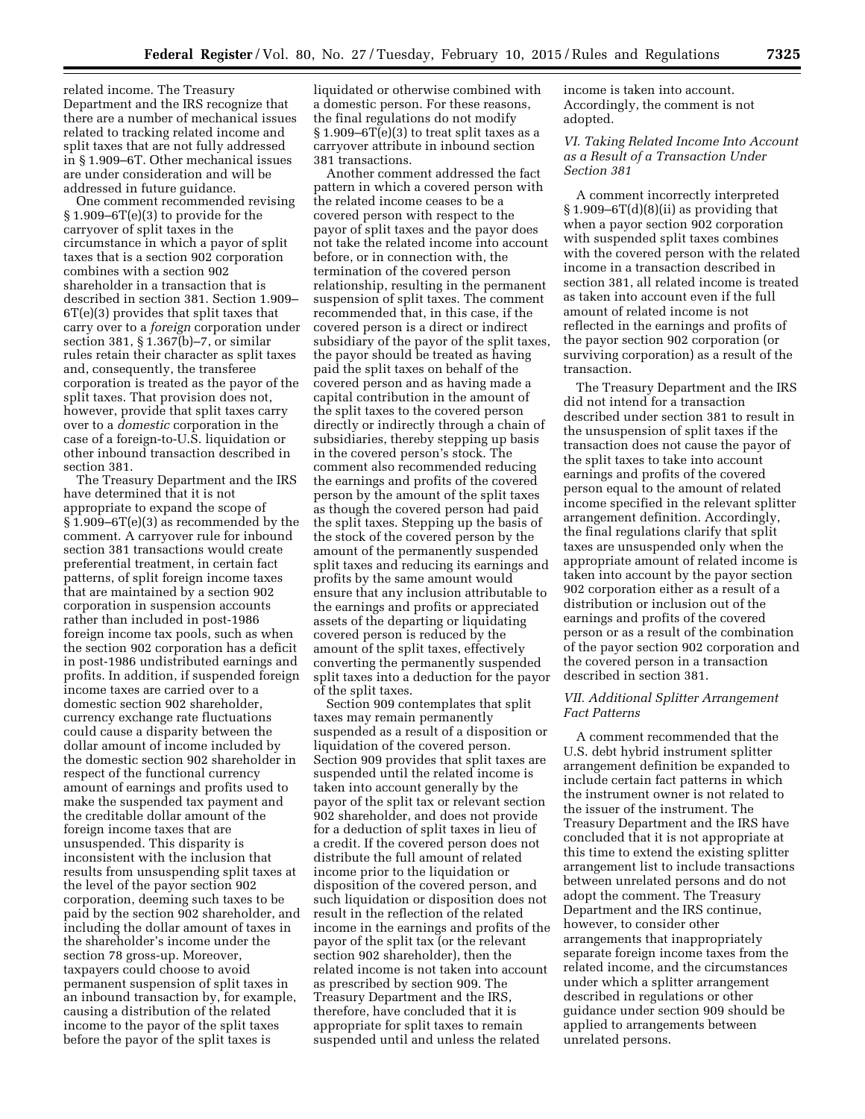related income. The Treasury Department and the IRS recognize that there are a number of mechanical issues related to tracking related income and split taxes that are not fully addressed in § 1.909–6T. Other mechanical issues are under consideration and will be addressed in future guidance.

One comment recommended revising § 1.909–6T(e)(3) to provide for the carryover of split taxes in the circumstance in which a payor of split taxes that is a section 902 corporation combines with a section 902 shareholder in a transaction that is described in section 381. Section 1.909– 6T(e)(3) provides that split taxes that carry over to a *foreign* corporation under section 381, § 1.367(b)–7, or similar rules retain their character as split taxes and, consequently, the transferee corporation is treated as the payor of the split taxes. That provision does not, however, provide that split taxes carry over to a *domestic* corporation in the case of a foreign-to-U.S. liquidation or other inbound transaction described in section 381.

The Treasury Department and the IRS have determined that it is not appropriate to expand the scope of § 1.909–6T(e)(3) as recommended by the comment. A carryover rule for inbound section 381 transactions would create preferential treatment, in certain fact patterns, of split foreign income taxes that are maintained by a section 902 corporation in suspension accounts rather than included in post-1986 foreign income tax pools, such as when the section 902 corporation has a deficit in post-1986 undistributed earnings and profits. In addition, if suspended foreign income taxes are carried over to a domestic section 902 shareholder, currency exchange rate fluctuations could cause a disparity between the dollar amount of income included by the domestic section 902 shareholder in respect of the functional currency amount of earnings and profits used to make the suspended tax payment and the creditable dollar amount of the foreign income taxes that are unsuspended. This disparity is inconsistent with the inclusion that results from unsuspending split taxes at the level of the payor section 902 corporation, deeming such taxes to be paid by the section 902 shareholder, and including the dollar amount of taxes in the shareholder's income under the section 78 gross-up. Moreover, taxpayers could choose to avoid permanent suspension of split taxes in an inbound transaction by, for example, causing a distribution of the related income to the payor of the split taxes before the payor of the split taxes is

liquidated or otherwise combined with a domestic person. For these reasons, the final regulations do not modify  $\S 1.909 - 6T(e)(3)$  to treat split taxes as a carryover attribute in inbound section 381 transactions.

Another comment addressed the fact pattern in which a covered person with the related income ceases to be a covered person with respect to the payor of split taxes and the payor does not take the related income into account before, or in connection with, the termination of the covered person relationship, resulting in the permanent suspension of split taxes. The comment recommended that, in this case, if the covered person is a direct or indirect subsidiary of the payor of the split taxes, the payor should be treated as having paid the split taxes on behalf of the covered person and as having made a capital contribution in the amount of the split taxes to the covered person directly or indirectly through a chain of subsidiaries, thereby stepping up basis in the covered person's stock. The comment also recommended reducing the earnings and profits of the covered person by the amount of the split taxes as though the covered person had paid the split taxes. Stepping up the basis of the stock of the covered person by the amount of the permanently suspended split taxes and reducing its earnings and profits by the same amount would ensure that any inclusion attributable to the earnings and profits or appreciated assets of the departing or liquidating covered person is reduced by the amount of the split taxes, effectively converting the permanently suspended split taxes into a deduction for the payor of the split taxes.

Section 909 contemplates that split taxes may remain permanently suspended as a result of a disposition or liquidation of the covered person. Section 909 provides that split taxes are suspended until the related income is taken into account generally by the payor of the split tax or relevant section 902 shareholder, and does not provide for a deduction of split taxes in lieu of a credit. If the covered person does not distribute the full amount of related income prior to the liquidation or disposition of the covered person, and such liquidation or disposition does not result in the reflection of the related income in the earnings and profits of the payor of the split tax (or the relevant section 902 shareholder), then the related income is not taken into account as prescribed by section 909. The Treasury Department and the IRS, therefore, have concluded that it is appropriate for split taxes to remain suspended until and unless the related

income is taken into account. Accordingly, the comment is not adopted.

## *VI. Taking Related Income Into Account as a Result of a Transaction Under Section 381*

A comment incorrectly interpreted  $$1.909-6T(d)(8)(ii)$  as providing that when a payor section 902 corporation with suspended split taxes combines with the covered person with the related income in a transaction described in section 381, all related income is treated as taken into account even if the full amount of related income is not reflected in the earnings and profits of the payor section 902 corporation (or surviving corporation) as a result of the transaction.

The Treasury Department and the IRS did not intend for a transaction described under section 381 to result in the unsuspension of split taxes if the transaction does not cause the payor of the split taxes to take into account earnings and profits of the covered person equal to the amount of related income specified in the relevant splitter arrangement definition. Accordingly, the final regulations clarify that split taxes are unsuspended only when the appropriate amount of related income is taken into account by the payor section 902 corporation either as a result of a distribution or inclusion out of the earnings and profits of the covered person or as a result of the combination of the payor section 902 corporation and the covered person in a transaction described in section 381.

### *VII. Additional Splitter Arrangement Fact Patterns*

A comment recommended that the U.S. debt hybrid instrument splitter arrangement definition be expanded to include certain fact patterns in which the instrument owner is not related to the issuer of the instrument. The Treasury Department and the IRS have concluded that it is not appropriate at this time to extend the existing splitter arrangement list to include transactions between unrelated persons and do not adopt the comment. The Treasury Department and the IRS continue, however, to consider other arrangements that inappropriately separate foreign income taxes from the related income, and the circumstances under which a splitter arrangement described in regulations or other guidance under section 909 should be applied to arrangements between unrelated persons.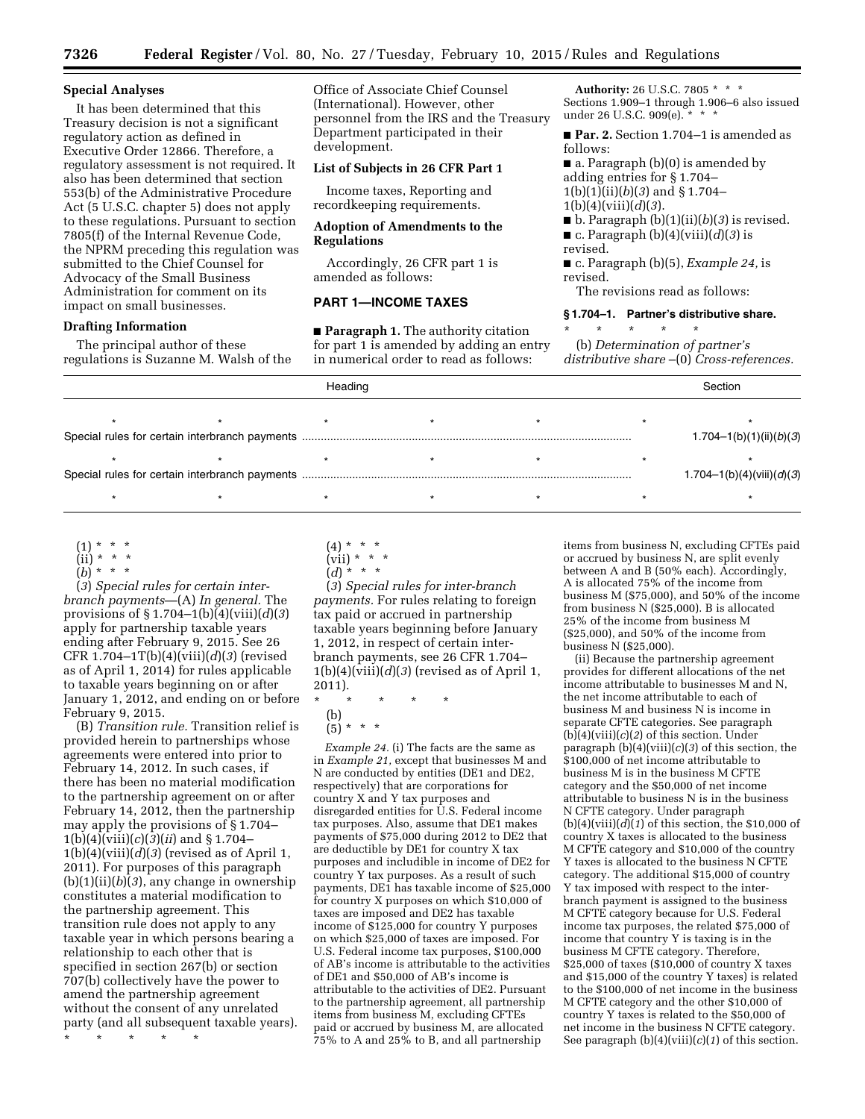#### **Special Analyses**

It has been determined that this Treasury decision is not a significant regulatory action as defined in Executive Order 12866. Therefore, a regulatory assessment is not required. It also has been determined that section 553(b) of the Administrative Procedure Act (5 U.S.C. chapter 5) does not apply to these regulations. Pursuant to section 7805(f) of the Internal Revenue Code, the NPRM preceding this regulation was submitted to the Chief Counsel for Advocacy of the Small Business Administration for comment on its impact on small businesses.

# **Drafting Information**

The principal author of these regulations is Suzanne M. Walsh of the Office of Associate Chief Counsel (International). However, other personnel from the IRS and the Treasury Department participated in their development.

#### **List of Subjects in 26 CFR Part 1**

Income taxes, Reporting and recordkeeping requirements.

### **Adoption of Amendments to the Regulations**

Accordingly, 26 CFR part 1 is amended as follows:

# **PART 1—INCOME TAXES**

■ **Paragraph 1.** The authority citation for part 1 is amended by adding an entry in numerical order to read as follows:

**Authority:** 26 U.S.C. 7805 \* \* \* Sections 1.909–1 through 1.906–6 also issued under 26 U.S.C. 909(e). \* \* \*

■ **Par. 2.** Section 1.704–1 is amended as follows:

■ a. Paragraph (b)(0) is amended by adding entries for § 1.704– 1(b)(1)(ii)(*b*)(*3*) and § 1.704– 1(b)(4)(viii)(*d*)(*3*).

- $\blacksquare$  b. Paragraph (b)(1)(ii)(b)(3) is revised.  $\blacksquare$  c. Paragraph (b)(4)(viii)(*d*)(3) is
- revised.

■ c. Paragraph (b)(5), *Example 24,* is revised.

The revisions read as follows:

#### **§ 1.704–1. Partner's distributive share.**

\* \* \* \* \* (b) *Determination of partner's distributive share* –(0) *Cross-references.* 

| Heading |  |  |  |  |  | Section                   |
|---------|--|--|--|--|--|---------------------------|
|         |  |  |  |  |  | 1.704-1(b)(1)(ii)(b)(3)   |
|         |  |  |  |  |  | 1.704-1(b)(4)(viii)(d)(3) |
|         |  |  |  |  |  |                           |

(1) \* \* \*

(ii) \* \* \*

(*b*) \* \* \*

(*3*) *Special rules for certain interbranch payments*—(A) *In general.* The provisions of § 1.704–1(b)(4)(viii)(*d*)(*3*) apply for partnership taxable years ending after February 9, 2015. See 26 CFR 1.704–1T(b)(4)(viii)(*d*)(*3*) (revised as of April 1, 2014) for rules applicable to taxable years beginning on or after January 1, 2012, and ending on or before

February 9, 2015. (B) *Transition rule.* Transition relief is provided herein to partnerships whose agreements were entered into prior to February 14, 2012. In such cases, if there has been no material modification to the partnership agreement on or after February 14, 2012, then the partnership may apply the provisions of § 1.704– 1(b)(4)(viii)(*c*)(*3*)(*ii*) and § 1.704–  $1(b)(4)(viii)(d)(3)$  (revised as of April 1, 2011). For purposes of this paragraph (b)(1)(ii)(*b*)(*3*), any change in ownership constitutes a material modification to the partnership agreement. This transition rule does not apply to any taxable year in which persons bearing a relationship to each other that is specified in section 267(b) or section 707(b) collectively have the power to amend the partnership agreement without the consent of any unrelated party (and all subsequent taxable years).

\* \* \* \* \*

- (4) \* \* \*
- (vii) \* \* \*

(*d*) \* \* \*

(*3*) *Special rules for inter-branch payments.* For rules relating to foreign tax paid or accrued in partnership taxable years beginning before January 1, 2012, in respect of certain interbranch payments, see 26 CFR 1.704–  $1(b)(4)(viii)(d)(3)$  (revised as of April 1, 2011).

\* \* \* \* \* (b) (5) \* \* \*

*Example 24.* (i) The facts are the same as in *Example 21,* except that businesses M and N are conducted by entities (DE1 and DE2, respectively) that are corporations for country X and Y tax purposes and disregarded entities for U.S. Federal income tax purposes. Also, assume that DE1 makes payments of \$75,000 during 2012 to DE2 that are deductible by DE1 for country X tax purposes and includible in income of DE2 for country Y tax purposes. As a result of such payments, DE1 has taxable income of \$25,000 for country X purposes on which \$10,000 of taxes are imposed and DE2 has taxable income of \$125,000 for country Y purposes on which \$25,000 of taxes are imposed. For U.S. Federal income tax purposes, \$100,000 of AB's income is attributable to the activities of DE1 and \$50,000 of AB's income is attributable to the activities of DE2. Pursuant to the partnership agreement, all partnership items from business M, excluding CFTEs paid or accrued by business M, are allocated 75% to A and 25% to B, and all partnership

items from business N, excluding CFTEs paid or accrued by business N, are split evenly between A and B (50% each). Accordingly, A is allocated 75% of the income from business M (\$75,000), and 50% of the income from business N (\$25,000). B is allocated 25% of the income from business M (\$25,000), and 50% of the income from business N (\$25,000).

(ii) Because the partnership agreement provides for different allocations of the net income attributable to businesses M and N, the net income attributable to each of business M and business N is income in separate CFTE categories. See paragraph  $(b)(4)(viii)(c)(2)$  of this section. Under paragraph (b)(4)(viii)(*c*)(*3*) of this section, the \$100,000 of net income attributable to business M is in the business M CFTE category and the \$50,000 of net income attributable to business N is in the business N CFTE category. Under paragraph  $(b)(4)(viii)(d)(1)$  of this section, the \$10,000 of country X taxes is allocated to the business M CFTE category and \$10,000 of the country Y taxes is allocated to the business N CFTE category. The additional \$15,000 of country Y tax imposed with respect to the interbranch payment is assigned to the business M CFTE category because for U.S. Federal income tax purposes, the related \$75,000 of income that country Y is taxing is in the business M CFTE category. Therefore, \$25,000 of taxes (\$10,000 of country X taxes and \$15,000 of the country Y taxes) is related to the \$100,000 of net income in the business M CFTE category and the other \$10,000 of country Y taxes is related to the \$50,000 of net income in the business N CFTE category. See paragraph  $(b)(4)(viii)(c)(1)$  of this section.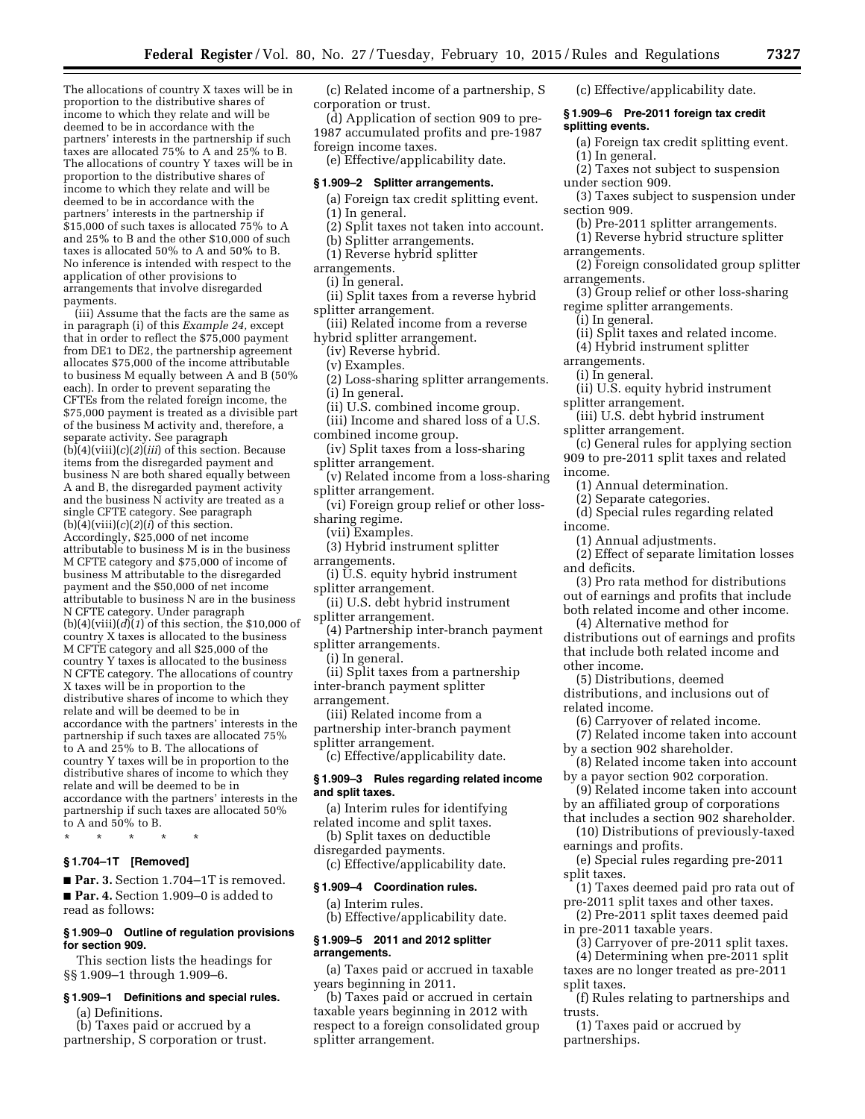The allocations of country X taxes will be in proportion to the distributive shares of income to which they relate and will be deemed to be in accordance with the partners' interests in the partnership if such taxes are allocated 75% to A and 25% to B. The allocations of country Y taxes will be in proportion to the distributive shares of income to which they relate and will be deemed to be in accordance with the partners' interests in the partnership if \$15,000 of such taxes is allocated 75% to A and 25% to B and the other \$10,000 of such taxes is allocated 50% to A and 50% to B. No inference is intended with respect to the application of other provisions to arrangements that involve disregarded payments.

(iii) Assume that the facts are the same as in paragraph (i) of this *Example 24,* except that in order to reflect the \$75,000 payment from DE1 to DE2, the partnership agreement allocates \$75,000 of the income attributable to business M equally between A and B (50% each). In order to prevent separating the CFTEs from the related foreign income, the \$75,000 payment is treated as a divisible part of the business M activity and, therefore, a separate activity. See paragraph  $(b)(4)(viii)(c)(2)(iii)$  of this section. Because items from the disregarded payment and business N are both shared equally between A and B, the disregarded payment activity and the business N activity are treated as a single CFTE category. See paragraph  $(b)(4)(viii)(c)(2)(i)$  of this section. Accordingly, \$25,000 of net income attributable to business M is in the business M CFTE category and \$75,000 of income of business M attributable to the disregarded payment and the \$50,000 of net income attributable to business N are in the business N CFTE category. Under paragraph (b)(4)(viii)(*d*)(*1*) of this section, the \$10,000 of country X taxes is allocated to the business M CFTE category and all \$25,000 of the country Y taxes is allocated to the business N CFTE category. The allocations of country X taxes will be in proportion to the distributive shares of income to which they relate and will be deemed to be in accordance with the partners' interests in the partnership if such taxes are allocated 75% to A and 25% to B. The allocations of country Y taxes will be in proportion to the distributive shares of income to which they relate and will be deemed to be in accordance with the partners' interests in the partnership if such taxes are allocated 50% to A and 50% to B.

\* \* \* \* \*

# **§ 1.704–1T [Removed]**

■ **Par. 3.** Section 1.704–1T is removed. ■ **Par. 4.** Section 1.909–0 is added to read as follows:

#### **§ 1.909–0 Outline of regulation provisions for section 909.**

This section lists the headings for §§ 1.909–1 through 1.909–6.

# **§ 1.909–1 Definitions and special rules.**  (a) Definitions.

(b) Taxes paid or accrued by a partnership, S corporation or trust.

(c) Related income of a partnership, S corporation or trust.

(d) Application of section 909 to pre-1987 accumulated profits and pre-1987 foreign income taxes.

(e) Effective/applicability date.

# **§ 1.909–2 Splitter arrangements.**

- (a) Foreign tax credit splitting event.
- (1) In general.
- (2) Split taxes not taken into account.
- (b) Splitter arrangements.
- (1) Reverse hybrid splitter
- arrangements.
	- (i) In general.
- (ii) Split taxes from a reverse hybrid splitter arrangement.
- (iii) Related income from a reverse
- hybrid splitter arrangement. (iv) Reverse hybrid.
	- (v) Examples.
	-
	- (2) Loss-sharing splitter arrangements.
	- (i) In general.
	- (ii) U.S. combined income group.
- (iii) Income and shared loss of a U.S. combined income group.
- (iv) Split taxes from a loss-sharing splitter arrangement.
- (v) Related income from a loss-sharing splitter arrangement.
- (vi) Foreign group relief or other losssharing regime.
	- (vii) Examples.
	- (3) Hybrid instrument splitter
- arrangements.
- (i) U.S. equity hybrid instrument splitter arrangement.
- (ii) U.S. debt hybrid instrument splitter arrangement.
- (4) Partnership inter-branch payment splitter arrangements.
	- (i) In general.
- (ii) Split taxes from a partnership
- inter-branch payment splitter
- arrangement.
- (iii) Related income from a
- partnership inter-branch payment
- splitter arrangement.
- (c) Effective/applicability date.

# **§ 1.909–3 Rules regarding related income and split taxes.**

- (a) Interim rules for identifying related income and split taxes.
- (b) Split taxes on deductible disregarded payments.
- (c) Effective/applicability date.

#### **§ 1.909–4 Coordination rules.**

- (a) Interim rules.
- (b) Effective/applicability date.

#### **§ 1.909–5 2011 and 2012 splitter arrangements.**

(a) Taxes paid or accrued in taxable years beginning in 2011.

(b) Taxes paid or accrued in certain taxable years beginning in 2012 with respect to a foreign consolidated group splitter arrangement.

(c) Effective/applicability date.

#### **§ 1.909–6 Pre-2011 foreign tax credit splitting events.**

- (a) Foreign tax credit splitting event. (1) In general.
- (2) Taxes not subject to suspension under section 909.

(3) Taxes subject to suspension under section 909.

- (b) Pre-2011 splitter arrangements.
- (1) Reverse hybrid structure splitter arrangements.
- (2) Foreign consolidated group splitter arrangements.
- (3) Group relief or other loss-sharing regime splitter arrangements.
- (i) In general.
- (ii) Split taxes and related income.
- (4) Hybrid instrument splitter
- arrangements.
	- (i) In general.
- (ii) U.S. equity hybrid instrument splitter arrangement.
- (iii) U.S. debt hybrid instrument splitter arrangement.
- (c) General rules for applying section 909 to pre-2011 split taxes and related income.
	- (1) Annual determination.
	- (2) Separate categories.
- (d) Special rules regarding related income.
	- (1) Annual adjustments.
- (2) Effect of separate limitation losses and deficits.
- (3) Pro rata method for distributions out of earnings and profits that include both related income and other income.
- (4) Alternative method for distributions out of earnings and profits that include both related income and
- other income.
- (5) Distributions, deemed distributions, and inclusions out of related income.
	- (6) Carryover of related income.
- (7) Related income taken into account by a section 902 shareholder.
- (8) Related income taken into account by a payor section 902 corporation.
- (9) Related income taken into account by an affiliated group of corporations
- that includes a section 902 shareholder. (10) Distributions of previously-taxed
- earnings and profits.
- (e) Special rules regarding pre-2011 split taxes.
- (1) Taxes deemed paid pro rata out of pre-2011 split taxes and other taxes.
- (2) Pre-2011 split taxes deemed paid in pre-2011 taxable years.
- (3) Carryover of pre-2011 split taxes.
- (4) Determining when pre-2011 split taxes are no longer treated as pre-2011 split taxes.
- (f) Rules relating to partnerships and trusts.
- (1) Taxes paid or accrued by partnerships.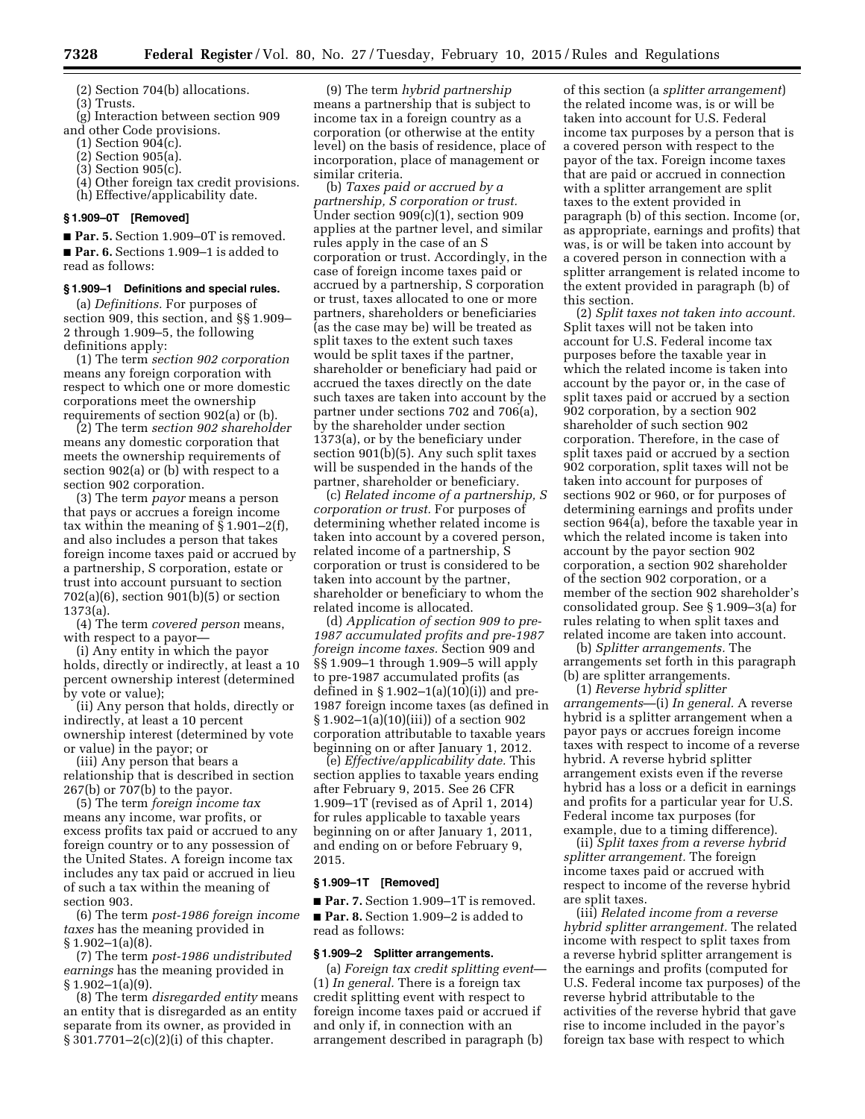(2) Section 704(b) allocations.

(3) Trusts.

(g) Interaction between section 909 and other Code provisions.

- (1) Section 904(c).
- (2) Section 905(a).
- (3) Section 905(c).
- (4) Other foreign tax credit provisions.
- (h) Effective/applicability date.

# **§ 1.909–0T [Removed]**

■ **Par. 5.** Section 1.909–0T is removed.

■ **Par. 6.** Sections 1.909–1 is added to read as follows:

#### **§ 1.909–1 Definitions and special rules.**

(a) *Definitions.* For purposes of section 909, this section, and §§ 1.909– 2 through 1.909–5, the following definitions apply:

(1) The term *section 902 corporation*  means any foreign corporation with respect to which one or more domestic corporations meet the ownership requirements of section 902(a) or (b).

(2) The term *section 902 shareholder*  means any domestic corporation that meets the ownership requirements of section 902(a) or (b) with respect to a section 902 corporation.

(3) The term *payor* means a person that pays or accrues a foreign income tax within the meaning of § 1.901–2(f), and also includes a person that takes foreign income taxes paid or accrued by a partnership, S corporation, estate or trust into account pursuant to section  $702(a)(6)$ , section  $901(b)(5)$  or section 1373(a).

(4) The term *covered person* means, with respect to a payor-

(i) Any entity in which the payor holds, directly or indirectly, at least a 10 percent ownership interest (determined by vote or value);

(ii) Any person that holds, directly or indirectly, at least a 10 percent ownership interest (determined by vote or value) in the payor; or

(iii) Any person that bears a relationship that is described in section 267(b) or 707(b) to the payor.

(5) The term *foreign income tax*  means any income, war profits, or excess profits tax paid or accrued to any foreign country or to any possession of the United States. A foreign income tax includes any tax paid or accrued in lieu of such a tax within the meaning of section 903.

(6) The term *post-1986 foreign income taxes* has the meaning provided in  $§ 1.902-1(a)(8).$ 

(7) The term *post-1986 undistributed earnings* has the meaning provided in  $§ 1.902 - 1(a)(9).$ 

(8) The term *disregarded entity* means an entity that is disregarded as an entity separate from its owner, as provided in § 301.7701–2(c)(2)(i) of this chapter.

(9) The term *hybrid partnership*  means a partnership that is subject to income tax in a foreign country as a corporation (or otherwise at the entity level) on the basis of residence, place of incorporation, place of management or similar criteria.

(b) *Taxes paid or accrued by a partnership, S corporation or trust.*  Under section 909(c)(1), section 909 applies at the partner level, and similar rules apply in the case of an S corporation or trust. Accordingly, in the case of foreign income taxes paid or accrued by a partnership, S corporation or trust, taxes allocated to one or more partners, shareholders or beneficiaries (as the case may be) will be treated as split taxes to the extent such taxes would be split taxes if the partner, shareholder or beneficiary had paid or accrued the taxes directly on the date such taxes are taken into account by the partner under sections 702 and 706(a), by the shareholder under section 1373(a), or by the beneficiary under section 901(b)(5). Any such split taxes will be suspended in the hands of the partner, shareholder or beneficiary.

(c) *Related income of a partnership, S corporation or trust.* For purposes of determining whether related income is taken into account by a covered person, related income of a partnership, S corporation or trust is considered to be taken into account by the partner, shareholder or beneficiary to whom the related income is allocated.

(d) *Application of section 909 to pre-1987 accumulated profits and pre-1987 foreign income taxes.* Section 909 and §§ 1.909–1 through 1.909–5 will apply to pre-1987 accumulated profits (as defined in  $\S 1.902-1(a)(10)(i)$  and pre-1987 foreign income taxes (as defined in § 1.902–1(a)(10)(iii)) of a section 902 corporation attributable to taxable years beginning on or after January 1, 2012.

(e) *Effective/applicability date.* This section applies to taxable years ending after February 9, 2015. See 26 CFR 1.909–1T (revised as of April 1, 2014) for rules applicable to taxable years beginning on or after January 1, 2011, and ending on or before February 9, 2015.

# **§ 1.909–1T [Removed]**

■ Par. 7. Section 1.909-1T is removed.

■ **Par. 8.** Section 1.909–2 is added to

read as follows:

# **§ 1.909–2 Splitter arrangements.**

(a) *Foreign tax credit splitting event*— (1) *In general.* There is a foreign tax credit splitting event with respect to foreign income taxes paid or accrued if and only if, in connection with an arrangement described in paragraph (b)

of this section (a *splitter arrangement*) the related income was, is or will be taken into account for U.S. Federal income tax purposes by a person that is a covered person with respect to the payor of the tax. Foreign income taxes that are paid or accrued in connection with a splitter arrangement are split taxes to the extent provided in paragraph (b) of this section. Income (or, as appropriate, earnings and profits) that was, is or will be taken into account by a covered person in connection with a splitter arrangement is related income to the extent provided in paragraph (b) of this section.

(2) *Split taxes not taken into account.*  Split taxes will not be taken into account for U.S. Federal income tax purposes before the taxable year in which the related income is taken into account by the payor or, in the case of split taxes paid or accrued by a section 902 corporation, by a section 902 shareholder of such section 902 corporation. Therefore, in the case of split taxes paid or accrued by a section 902 corporation, split taxes will not be taken into account for purposes of sections 902 or 960, or for purposes of determining earnings and profits under section 964(a), before the taxable year in which the related income is taken into account by the payor section 902 corporation, a section 902 shareholder of the section 902 corporation, or a member of the section 902 shareholder's consolidated group. See § 1.909–3(a) for rules relating to when split taxes and related income are taken into account.

(b) *Splitter arrangements.* The arrangements set forth in this paragraph (b) are splitter arrangements.

(1) *Reverse hybrid splitter arrangements*—(i) *In general.* A reverse hybrid is a splitter arrangement when a payor pays or accrues foreign income taxes with respect to income of a reverse hybrid. A reverse hybrid splitter arrangement exists even if the reverse hybrid has a loss or a deficit in earnings and profits for a particular year for U.S. Federal income tax purposes (for

example, due to a timing difference). (ii) *Split taxes from a reverse hybrid splitter arrangement.* The foreign

income taxes paid or accrued with respect to income of the reverse hybrid are split taxes.

(iii) *Related income from a reverse hybrid splitter arrangement.* The related income with respect to split taxes from a reverse hybrid splitter arrangement is the earnings and profits (computed for U.S. Federal income tax purposes) of the reverse hybrid attributable to the activities of the reverse hybrid that gave rise to income included in the payor's foreign tax base with respect to which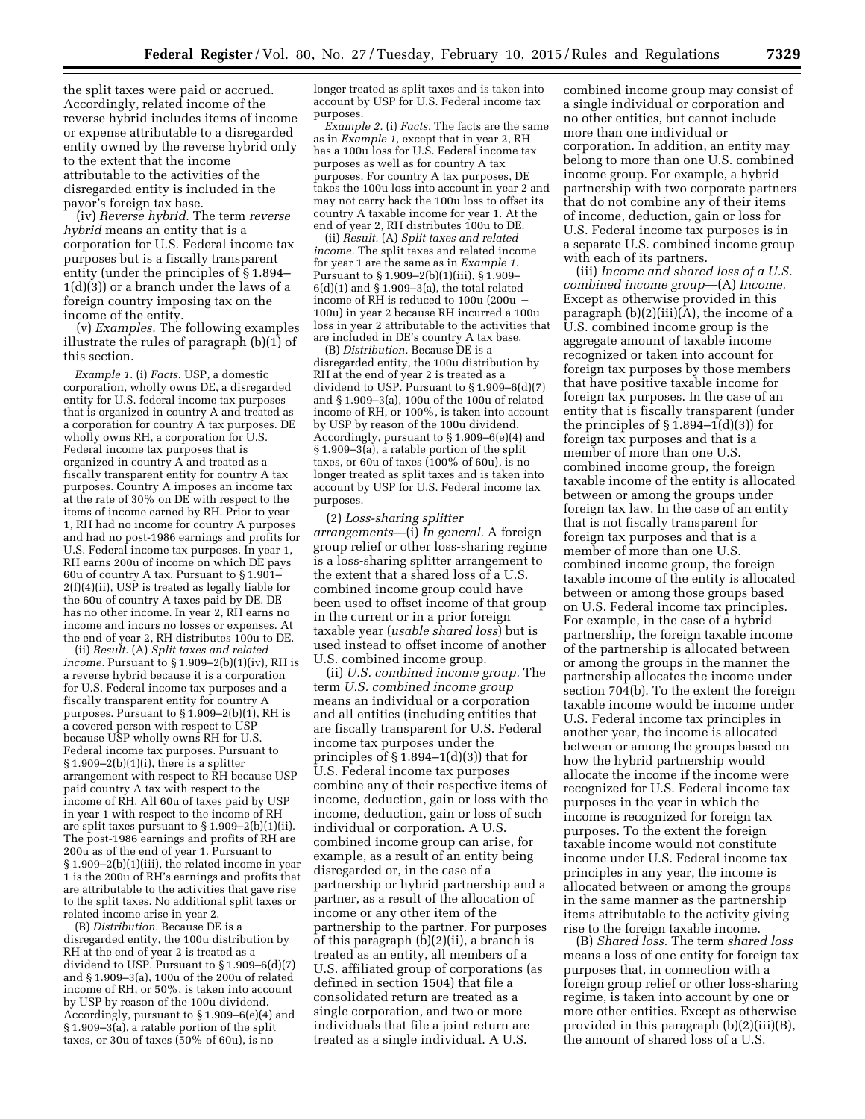the split taxes were paid or accrued. Accordingly, related income of the reverse hybrid includes items of income or expense attributable to a disregarded entity owned by the reverse hybrid only to the extent that the income attributable to the activities of the disregarded entity is included in the payor's foreign tax base.

(iv) *Reverse hybrid.* The term *reverse hybrid* means an entity that is a corporation for U.S. Federal income tax purposes but is a fiscally transparent entity (under the principles of § 1.894– 1(d)(3)) or a branch under the laws of a foreign country imposing tax on the income of the entity.

(v) *Examples.* The following examples illustrate the rules of paragraph (b)(1) of this section.

*Example 1.* (i) *Facts.* USP, a domestic corporation, wholly owns DE, a disregarded entity for U.S. federal income tax purposes that is organized in country A and treated as a corporation for country A tax purposes. DE wholly owns RH, a corporation for U.S. Federal income tax purposes that is organized in country A and treated as a fiscally transparent entity for country A tax purposes. Country A imposes an income tax at the rate of 30% on DE with respect to the items of income earned by RH. Prior to year 1, RH had no income for country A purposes and had no post-1986 earnings and profits for U.S. Federal income tax purposes. In year 1, RH earns 200u of income on which DE pays 60u of country A tax. Pursuant to  $\S 1.901-$ 2(f)(4)(ii), USP is treated as legally liable for the 60u of country A taxes paid by DE. DE has no other income. In year 2, RH earns no income and incurs no losses or expenses. At the end of year 2, RH distributes 100u to DE.

(ii) *Result.* (A) *Split taxes and related income.* Pursuant to § 1.909–2(b)(1)(iv), RH is a reverse hybrid because it is a corporation for U.S. Federal income tax purposes and a fiscally transparent entity for country A purposes. Pursuant to § 1.909–2(b)(1), RH is a covered person with respect to USP because USP wholly owns RH for U.S. Federal income tax purposes. Pursuant to  $§ 1.909-2(b)(1)(i)$ , there is a splitter arrangement with respect to RH because USP paid country A tax with respect to the income of RH. All 60u of taxes paid by USP in year 1 with respect to the income of RH are split taxes pursuant to § 1.909–2(b)(1)(ii). The post-1986 earnings and profits of RH are 200u as of the end of year 1. Pursuant to § 1.909–2(b)(1)(iii), the related income in year 1 is the 200u of RH's earnings and profits that are attributable to the activities that gave rise to the split taxes. No additional split taxes or related income arise in year 2.

(B) *Distribution.* Because DE is a disregarded entity, the 100u distribution by RH at the end of year 2 is treated as a dividend to USP. Pursuant to § 1.909–6(d)(7) and § 1.909–3(a), 100u of the 200u of related income of RH, or 50%, is taken into account by USP by reason of the 100u dividend. Accordingly, pursuant to § 1.909–6(e)(4) and § 1.909–3(a), a ratable portion of the split taxes, or 30u of taxes (50% of 60u), is no

longer treated as split taxes and is taken into account by USP for U.S. Federal income tax purposes.

*Example 2.* (i) *Facts.* The facts are the same as in *Example 1,* except that in year 2, RH has a 100u loss for U.S. Federal income tax purposes as well as for country A tax purposes. For country A tax purposes, DE takes the 100u loss into account in year 2 and may not carry back the 100u loss to offset its country A taxable income for year 1. At the end of year 2, RH distributes 100u to DE.

(ii) *Result.* (A) *Split taxes and related income.* The split taxes and related income for year 1 are the same as in *Example 1.*  Pursuant to § 1.909–2(b)(1)(iii), § 1.909–  $6(d)(1)$  and  $\overline{§}$  1.909–3(a), the total related income of RH is reduced to 100u (200u -100u) in year 2 because RH incurred a 100u loss in year 2 attributable to the activities that are included in DE's country A tax base.

(B) *Distribution.* Because DE is a disregarded entity, the 100u distribution by RH at the end of year 2 is treated as a dividend to USP. Pursuant to § 1.909–6(d)(7) and § 1.909–3(a), 100u of the 100u of related income of RH, or 100%, is taken into account by USP by reason of the 100u dividend. Accordingly, pursuant to § 1.909–6(e)(4) and § 1.909–3(a), a ratable portion of the split taxes, or 60u of taxes (100% of 60u), is no longer treated as split taxes and is taken into account by USP for U.S. Federal income tax purposes.

(2) *Loss-sharing splitter arrangements*—(i) *In general.* A foreign group relief or other loss-sharing regime is a loss-sharing splitter arrangement to the extent that a shared loss of a U.S. combined income group could have been used to offset income of that group in the current or in a prior foreign taxable year (*usable shared loss*) but is used instead to offset income of another U.S. combined income group.

(ii) *U.S. combined income group.* The term *U.S. combined income group*  means an individual or a corporation and all entities (including entities that are fiscally transparent for U.S. Federal income tax purposes under the principles of  $\S 1.894-1(d)(3)$  that for U.S. Federal income tax purposes combine any of their respective items of income, deduction, gain or loss with the income, deduction, gain or loss of such individual or corporation. A U.S. combined income group can arise, for example, as a result of an entity being disregarded or, in the case of a partnership or hybrid partnership and a partner, as a result of the allocation of income or any other item of the partnership to the partner. For purposes of this paragraph (b)(2)(ii), a branch is treated as an entity, all members of a U.S. affiliated group of corporations (as defined in section 1504) that file a consolidated return are treated as a single corporation, and two or more individuals that file a joint return are treated as a single individual. A U.S.

combined income group may consist of a single individual or corporation and no other entities, but cannot include more than one individual or corporation. In addition, an entity may belong to more than one U.S. combined income group. For example, a hybrid partnership with two corporate partners that do not combine any of their items of income, deduction, gain or loss for U.S. Federal income tax purposes is in a separate U.S. combined income group with each of its partners.

(iii) *Income and shared loss of a U.S. combined income group*—(A) *Income.*  Except as otherwise provided in this paragraph (b)(2)(iii)(A), the income of a U.S. combined income group is the aggregate amount of taxable income recognized or taken into account for foreign tax purposes by those members that have positive taxable income for foreign tax purposes. In the case of an entity that is fiscally transparent (under the principles of  $\S 1.894-1(d)(3)$  for foreign tax purposes and that is a member of more than one U.S. combined income group, the foreign taxable income of the entity is allocated between or among the groups under foreign tax law. In the case of an entity that is not fiscally transparent for foreign tax purposes and that is a member of more than one U.S. combined income group, the foreign taxable income of the entity is allocated between or among those groups based on U.S. Federal income tax principles. For example, in the case of a hybrid partnership, the foreign taxable income of the partnership is allocated between or among the groups in the manner the partnership allocates the income under section 704(b). To the extent the foreign taxable income would be income under U.S. Federal income tax principles in another year, the income is allocated between or among the groups based on how the hybrid partnership would allocate the income if the income were recognized for U.S. Federal income tax purposes in the year in which the income is recognized for foreign tax purposes. To the extent the foreign taxable income would not constitute income under U.S. Federal income tax principles in any year, the income is allocated between or among the groups in the same manner as the partnership items attributable to the activity giving rise to the foreign taxable income.

(B) *Shared loss.* The term *shared loss*  means a loss of one entity for foreign tax purposes that, in connection with a foreign group relief or other loss-sharing regime, is taken into account by one or more other entities. Except as otherwise provided in this paragraph (b)(2)(iii)(B), the amount of shared loss of a U.S.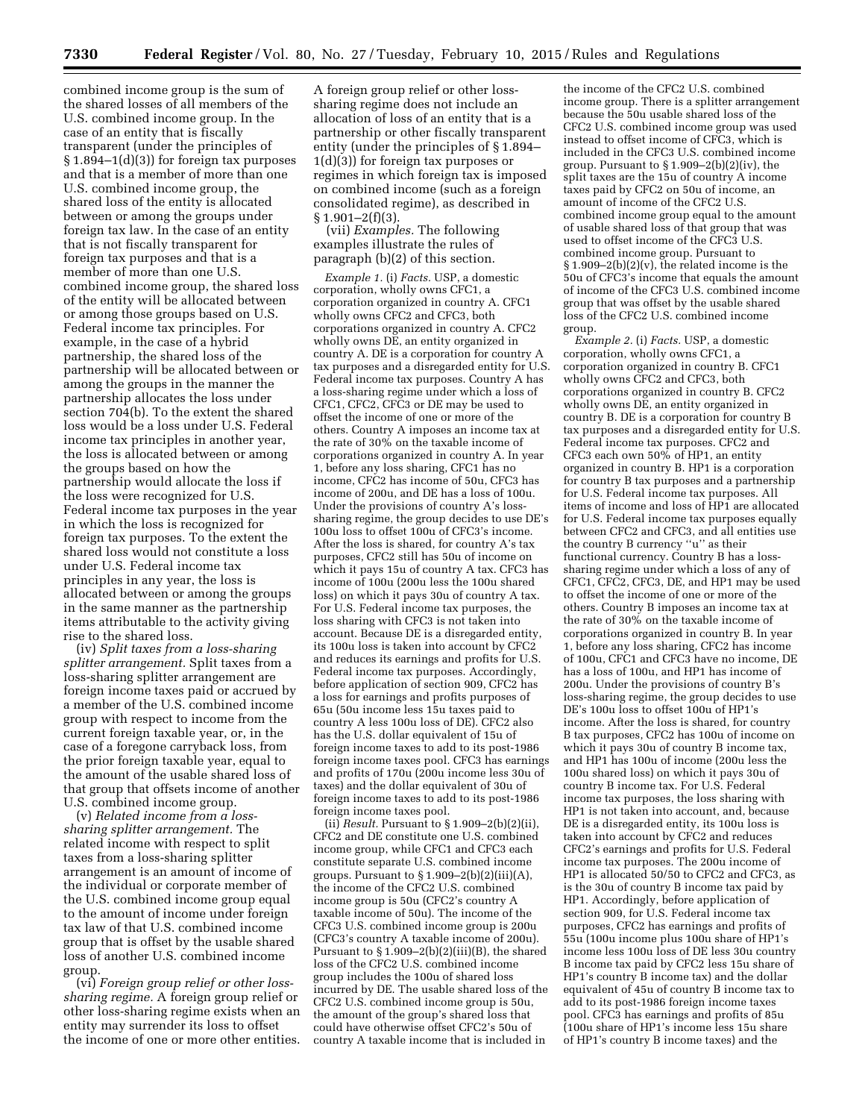combined income group is the sum of the shared losses of all members of the U.S. combined income group. In the case of an entity that is fiscally transparent (under the principles of § 1.894–1(d)(3)) for foreign tax purposes and that is a member of more than one U.S. combined income group, the shared loss of the entity is allocated between or among the groups under foreign tax law. In the case of an entity that is not fiscally transparent for foreign tax purposes and that is a member of more than one U.S. combined income group, the shared loss of the entity will be allocated between or among those groups based on U.S. Federal income tax principles. For example, in the case of a hybrid partnership, the shared loss of the partnership will be allocated between or among the groups in the manner the partnership allocates the loss under section 704(b). To the extent the shared loss would be a loss under U.S. Federal income tax principles in another year, the loss is allocated between or among the groups based on how the partnership would allocate the loss if the loss were recognized for U.S. Federal income tax purposes in the year in which the loss is recognized for foreign tax purposes. To the extent the shared loss would not constitute a loss under U.S. Federal income tax principles in any year, the loss is allocated between or among the groups in the same manner as the partnership items attributable to the activity giving rise to the shared loss.

(iv) *Split taxes from a loss-sharing splitter arrangement.* Split taxes from a loss-sharing splitter arrangement are foreign income taxes paid or accrued by a member of the U.S. combined income group with respect to income from the current foreign taxable year, or, in the case of a foregone carryback loss, from the prior foreign taxable year, equal to the amount of the usable shared loss of that group that offsets income of another U.S. combined income group.

(v) *Related income from a losssharing splitter arrangement.* The related income with respect to split taxes from a loss-sharing splitter arrangement is an amount of income of the individual or corporate member of the U.S. combined income group equal to the amount of income under foreign tax law of that U.S. combined income group that is offset by the usable shared loss of another U.S. combined income group.

(vi) *Foreign group relief or other losssharing regime.* A foreign group relief or other loss-sharing regime exists when an entity may surrender its loss to offset the income of one or more other entities.

A foreign group relief or other losssharing regime does not include an allocation of loss of an entity that is a partnership or other fiscally transparent entity (under the principles of § 1.894– 1(d)(3)) for foreign tax purposes or regimes in which foreign tax is imposed on combined income (such as a foreign consolidated regime), as described in  $§ 1.901 - 2(f)(3).$ 

(vii) *Examples.* The following examples illustrate the rules of paragraph (b)(2) of this section.

*Example 1.* (i) *Facts.* USP, a domestic corporation, wholly owns CFC1, a corporation organized in country A. CFC1 wholly owns CFC2 and CFC3, both corporations organized in country A. CFC2 wholly owns DE, an entity organized in country A. DE is a corporation for country A tax purposes and a disregarded entity for U.S. Federal income tax purposes. Country A has a loss-sharing regime under which a loss of CFC1, CFC2, CFC3 or DE may be used to offset the income of one or more of the others. Country A imposes an income tax at the rate of 30% on the taxable income of corporations organized in country A. In year 1, before any loss sharing, CFC1 has no income, CFC2 has income of 50u, CFC3 has income of 200u, and DE has a loss of 100u. Under the provisions of country A's losssharing regime, the group decides to use DE's 100u loss to offset 100u of CFC3's income. After the loss is shared, for country A's tax purposes, CFC2 still has 50u of income on which it pays 15u of country A tax. CFC3 has income of 100u (200u less the 100u shared loss) on which it pays 30u of country A tax. For U.S. Federal income tax purposes, the loss sharing with CFC3 is not taken into account. Because DE is a disregarded entity, its 100u loss is taken into account by CFC2 and reduces its earnings and profits for U.S. Federal income tax purposes. Accordingly, before application of section 909, CFC2 has a loss for earnings and profits purposes of 65u (50u income less 15u taxes paid to country A less 100u loss of DE). CFC2 also has the U.S. dollar equivalent of 15u of foreign income taxes to add to its post-1986 foreign income taxes pool. CFC3 has earnings and profits of 170u (200u income less 30u of taxes) and the dollar equivalent of 30u of foreign income taxes to add to its post-1986 foreign income taxes pool.

(ii) *Result.* Pursuant to § 1.909–2(b)(2)(ii), CFC2 and DE constitute one U.S. combined income group, while CFC1 and CFC3 each constitute separate U.S. combined income groups. Pursuant to  $\S 1.909-2(b)(2)(iii)(A),$ the income of the CFC2 U.S. combined income group is 50u (CFC2's country A taxable income of 50u). The income of the CFC3 U.S. combined income group is 200u (CFC3's country A taxable income of 200u). Pursuant to  $\S 1.909-2(b)(2)(iii)(B)$ , the shared loss of the CFC2 U.S. combined income group includes the 100u of shared loss incurred by DE. The usable shared loss of the CFC2 U.S. combined income group is 50u, the amount of the group's shared loss that could have otherwise offset CFC2's 50u of country A taxable income that is included in

the income of the CFC2 U.S. combined income group. There is a splitter arrangement because the 50u usable shared loss of the CFC2 U.S. combined income group was used instead to offset income of CFC3, which is included in the CFC3 U.S. combined income group. Pursuant to § 1.909–2(b)(2)(iv), the split taxes are the 15u of country A income taxes paid by CFC2 on 50u of income, an amount of income of the CFC2 U.S. combined income group equal to the amount of usable shared loss of that group that was used to offset income of the CFC3 U.S. combined income group. Pursuant to  $§ 1.909-2(b)(2)(v)$ , the related income is the 50u of CFC3's income that equals the amount of income of the CFC3 U.S. combined income group that was offset by the usable shared loss of the CFC2 U.S. combined income group.

*Example 2.* (i) *Facts.* USP, a domestic corporation, wholly owns CFC1, a corporation organized in country B. CFC1 wholly owns CFC2 and CFC3, both corporations organized in country B. CFC2 wholly owns DE, an entity organized in country B. DE is a corporation for country B tax purposes and a disregarded entity for U.S. Federal income tax purposes. CFC2 and CFC3 each own 50% of HP1, an entity organized in country B. HP1 is a corporation for country B tax purposes and a partnership for U.S. Federal income tax purposes. All items of income and loss of HP1 are allocated for U.S. Federal income tax purposes equally between CFC2 and CFC3, and all entities use the country B currency ''u'' as their functional currency. Country B has a losssharing regime under which a loss of any of CFC1, CFC2, CFC3, DE, and HP1 may be used to offset the income of one or more of the others. Country B imposes an income tax at the rate of 30% on the taxable income of corporations organized in country B. In year 1, before any loss sharing, CFC2 has income of 100u, CFC1 and CFC3 have no income, DE has a loss of 100u, and HP1 has income of 200u. Under the provisions of country B's loss-sharing regime, the group decides to use DE's 100u loss to offset 100u of HP1's income. After the loss is shared, for country B tax purposes, CFC2 has 100u of income on which it pays 30u of country B income tax, and HP1 has 100u of income (200u less the 100u shared loss) on which it pays 30u of country B income tax. For U.S. Federal income tax purposes, the loss sharing with HP1 is not taken into account, and, because DE is a disregarded entity, its 100u loss is taken into account by CFC2 and reduces CFC2's earnings and profits for U.S. Federal income tax purposes. The 200u income of HP1 is allocated 50/50 to CFC2 and CFC3, as is the 30u of country B income tax paid by HP1. Accordingly, before application of section 909, for U.S. Federal income tax purposes, CFC2 has earnings and profits of 55u (100u income plus 100u share of HP1's income less 100u loss of DE less 30u country B income tax paid by CFC2 less 15u share of HP1's country B income tax) and the dollar equivalent of 45u of country B income tax to add to its post-1986 foreign income taxes pool. CFC3 has earnings and profits of 85u (100u share of HP1's income less 15u share of HP1's country B income taxes) and the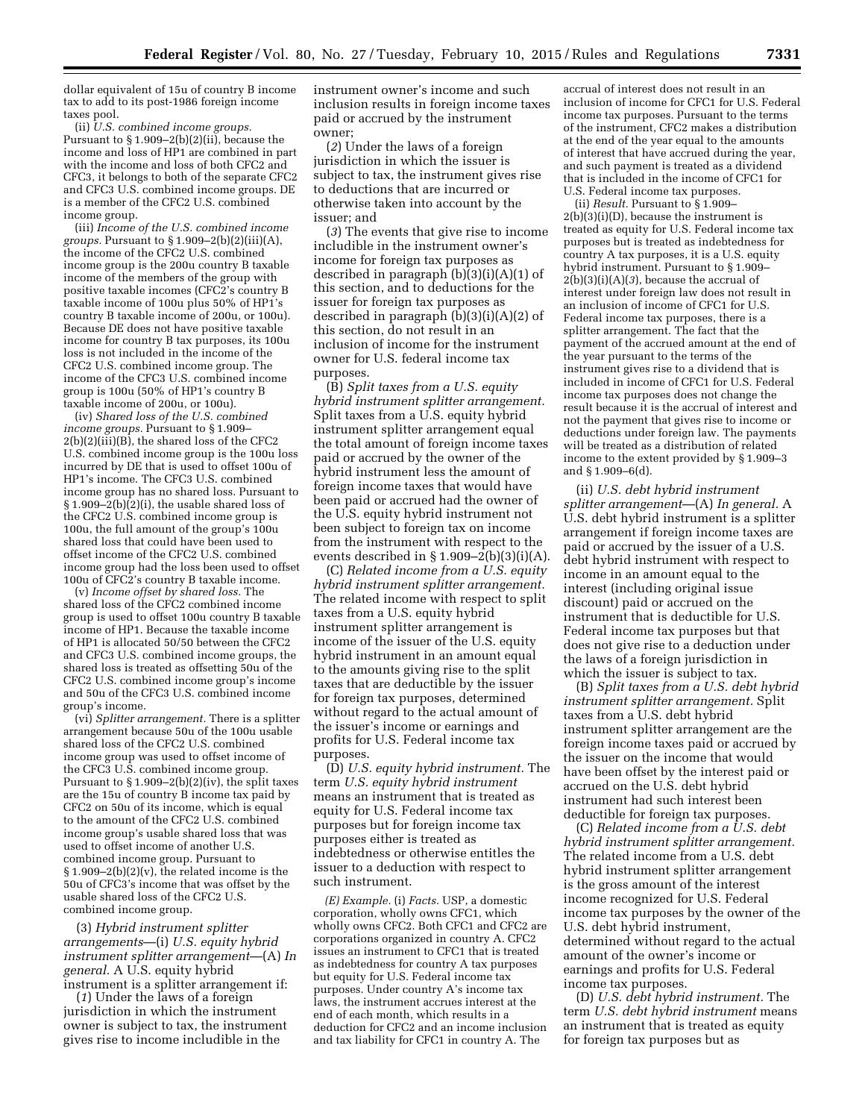dollar equivalent of 15u of country B income tax to add to its post-1986 foreign income taxes pool.

(ii) *U.S. combined income groups.*  Pursuant to § 1.909–2(b)(2)(ii), because the income and loss of HP1 are combined in part with the income and loss of both CFC2 and CFC3, it belongs to both of the separate CFC2 and CFC3 U.S. combined income groups. DE is a member of the CFC2 U.S. combined income group.

(iii) *Income of the U.S. combined income groups.* Pursuant to § 1.909–2(b)(2)(iii)(A), the income of the CFC2 U.S. combined income group is the 200u country B taxable income of the members of the group with positive taxable incomes (CFC2's country B taxable income of 100u plus 50% of HP1's country B taxable income of 200u, or 100u). Because DE does not have positive taxable income for country B tax purposes, its 100u loss is not included in the income of the CFC2 U.S. combined income group. The income of the CFC3 U.S. combined income group is 100u (50% of HP1's country B taxable income of 200u, or 100u).

(iv) *Shared loss of the U.S. combined income groups.* Pursuant to § 1.909–  $2(b)(2)(iii)(B)$ , the shared loss of the CFC2 U.S. combined income group is the 100u loss incurred by DE that is used to offset 100u of HP1's income. The CFC3 U.S. combined income group has no shared loss. Pursuant to § 1.909–2(b) $(2)(i)$ , the usable shared loss of the CFC2 U.S. combined income group is 100u, the full amount of the group's 100u shared loss that could have been used to offset income of the CFC2 U.S. combined income group had the loss been used to offset 100u of CFC2's country B taxable income.

(v) *Income offset by shared loss.* The shared loss of the CFC2 combined income group is used to offset 100u country B taxable income of HP1. Because the taxable income of HP1 is allocated 50/50 between the CFC2 and CFC3 U.S. combined income groups, the shared loss is treated as offsetting 50u of the CFC2 U.S. combined income group's income and 50u of the CFC3 U.S. combined income group's income.

(vi) *Splitter arrangement.* There is a splitter arrangement because 50u of the 100u usable shared loss of the CFC2 U.S. combined income group was used to offset income of the CFC3 U.S. combined income group. Pursuant to  $\S 1.909-2(b)(2)(iv)$ , the split taxes are the 15u of country B income tax paid by CFC2 on 50u of its income, which is equal to the amount of the CFC2 U.S. combined income group's usable shared loss that was used to offset income of another U.S. combined income group. Pursuant to  $§ 1.909-2(b)(2)(v)$ , the related income is the 50u of CFC3's income that was offset by the usable shared loss of the CFC2 U.S. combined income group.

(3) *Hybrid instrument splitter arrangements*—(i) *U.S. equity hybrid instrument splitter arrangement*—(A) *In general.* A U.S. equity hybrid instrument is a splitter arrangement if:

(*1*) Under the laws of a foreign jurisdiction in which the instrument owner is subject to tax, the instrument gives rise to income includible in the

instrument owner's income and such inclusion results in foreign income taxes paid or accrued by the instrument owner;

(*2*) Under the laws of a foreign jurisdiction in which the issuer is subject to tax, the instrument gives rise to deductions that are incurred or otherwise taken into account by the issuer; and

(*3*) The events that give rise to income includible in the instrument owner's income for foreign tax purposes as described in paragraph (b)(3)(i)(A)(1) of this section, and to deductions for the issuer for foreign tax purposes as described in paragraph (b)(3)(i)(A)(2) of this section, do not result in an inclusion of income for the instrument owner for U.S. federal income tax purposes.

(B) *Split taxes from a U.S. equity hybrid instrument splitter arrangement.*  Split taxes from a U.S. equity hybrid instrument splitter arrangement equal the total amount of foreign income taxes paid or accrued by the owner of the hybrid instrument less the amount of foreign income taxes that would have been paid or accrued had the owner of the U.S. equity hybrid instrument not been subject to foreign tax on income from the instrument with respect to the events described in § 1.909–2(b)(3)(i)(A).

(C) *Related income from a U.S. equity hybrid instrument splitter arrangement.*  The related income with respect to split taxes from a U.S. equity hybrid instrument splitter arrangement is income of the issuer of the U.S. equity hybrid instrument in an amount equal to the amounts giving rise to the split taxes that are deductible by the issuer for foreign tax purposes, determined without regard to the actual amount of the issuer's income or earnings and profits for U.S. Federal income tax purposes.

(D) *U.S. equity hybrid instrument.* The term *U.S. equity hybrid instrument*  means an instrument that is treated as equity for U.S. Federal income tax purposes but for foreign income tax purposes either is treated as indebtedness or otherwise entitles the issuer to a deduction with respect to such instrument.

*(E) Example.* (i) *Facts.* USP, a domestic corporation, wholly owns CFC1, which wholly owns CFC2. Both CFC1 and CFC2 are corporations organized in country A. CFC2 issues an instrument to CFC1 that is treated as indebtedness for country A tax purposes but equity for U.S. Federal income tax purposes. Under country A's income tax laws, the instrument accrues interest at the end of each month, which results in a deduction for CFC2 and an income inclusion and tax liability for CFC1 in country A. The

accrual of interest does not result in an inclusion of income for CFC1 for U.S. Federal income tax purposes. Pursuant to the terms of the instrument, CFC2 makes a distribution at the end of the year equal to the amounts of interest that have accrued during the year, and such payment is treated as a dividend that is included in the income of CFC1 for U.S. Federal income tax purposes.

(ii) *Result.* Pursuant to § 1.909–  $2(b)(3)(i)(D)$ , because the instrument is treated as equity for U.S. Federal income tax purposes but is treated as indebtedness for country A tax purposes, it is a U.S. equity hybrid instrument. Pursuant to § 1.909–  $2(b)(3)(i)(A)(3)$ , because the accrual of interest under foreign law does not result in an inclusion of income of CFC1 for U.S. Federal income tax purposes, there is a splitter arrangement. The fact that the payment of the accrued amount at the end of the year pursuant to the terms of the instrument gives rise to a dividend that is included in income of CFC1 for U.S. Federal income tax purposes does not change the result because it is the accrual of interest and not the payment that gives rise to income or deductions under foreign law. The payments will be treated as a distribution of related income to the extent provided by § 1.909–3 and § 1.909–6(d).

(ii) *U.S. debt hybrid instrument splitter arrangement*—(A) *In general.* A U.S. debt hybrid instrument is a splitter arrangement if foreign income taxes are paid or accrued by the issuer of a U.S. debt hybrid instrument with respect to income in an amount equal to the interest (including original issue discount) paid or accrued on the instrument that is deductible for U.S. Federal income tax purposes but that does not give rise to a deduction under the laws of a foreign jurisdiction in which the issuer is subject to tax.

(B) *Split taxes from a U.S. debt hybrid instrument splitter arrangement.* Split taxes from a U.S. debt hybrid instrument splitter arrangement are the foreign income taxes paid or accrued by the issuer on the income that would have been offset by the interest paid or accrued on the U.S. debt hybrid instrument had such interest been deductible for foreign tax purposes.

(C) *Related income from a U.S. debt hybrid instrument splitter arrangement.*  The related income from a U.S. debt hybrid instrument splitter arrangement is the gross amount of the interest income recognized for U.S. Federal income tax purposes by the owner of the U.S. debt hybrid instrument, determined without regard to the actual amount of the owner's income or earnings and profits for U.S. Federal income tax purposes.

(D) *U.S. debt hybrid instrument.* The term *U.S. debt hybrid instrument* means an instrument that is treated as equity for foreign tax purposes but as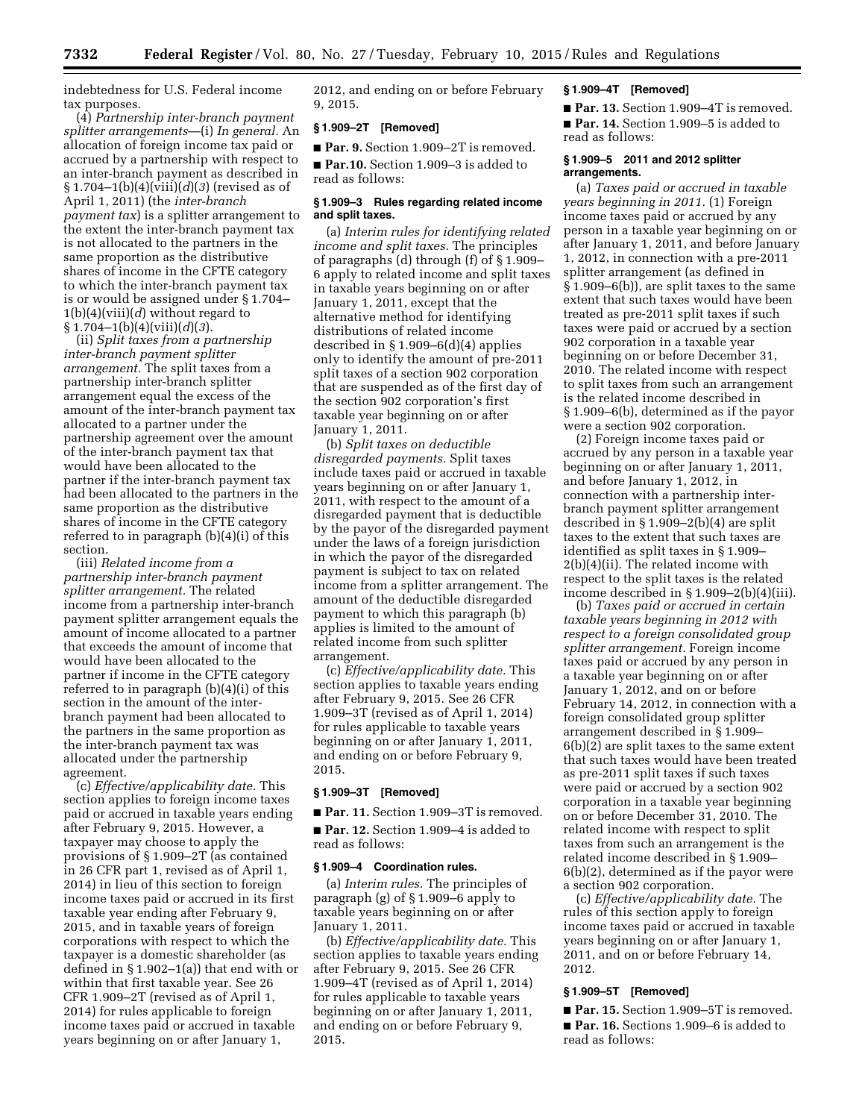indebtedness for U.S. Federal income tax purposes.

(4) *Partnership inter-branch payment splitter arrangements*—(i) *In general.* An allocation of foreign income tax paid or accrued by a partnership with respect to an inter-branch payment as described in § 1.704–1(b)(4)(viii)(*d*)(*3*) (revised as of April 1, 2011) (the *inter-branch payment tax*) is a splitter arrangement to the extent the inter-branch payment tax is not allocated to the partners in the same proportion as the distributive shares of income in the CFTE category to which the inter-branch payment tax is or would be assigned under § 1.704– 1(b)(4)(viii)(*d*) without regard to § 1.704–1(b)(4)(viii)(*d*)(*3*).

(ii) *Split taxes from a partnership inter-branch payment splitter arrangement.* The split taxes from a partnership inter-branch splitter arrangement equal the excess of the amount of the inter-branch payment tax allocated to a partner under the partnership agreement over the amount of the inter-branch payment tax that would have been allocated to the partner if the inter-branch payment tax had been allocated to the partners in the same proportion as the distributive shares of income in the CFTE category referred to in paragraph (b)(4)(i) of this section.

(iii) *Related income from a partnership inter-branch payment splitter arrangement.* The related income from a partnership inter-branch payment splitter arrangement equals the amount of income allocated to a partner that exceeds the amount of income that would have been allocated to the partner if income in the CFTE category referred to in paragraph (b)(4)(i) of this section in the amount of the interbranch payment had been allocated to the partners in the same proportion as the inter-branch payment tax was allocated under the partnership agreement.

(c) *Effective/applicability date.* This section applies to foreign income taxes paid or accrued in taxable years ending after February 9, 2015. However, a taxpayer may choose to apply the provisions of § 1.909–2T (as contained in 26 CFR part 1, revised as of April 1, 2014) in lieu of this section to foreign income taxes paid or accrued in its first taxable year ending after February 9, 2015, and in taxable years of foreign corporations with respect to which the taxpayer is a domestic shareholder (as defined in § 1.902–1(a)) that end with or within that first taxable year. See 26 CFR 1.909–2T (revised as of April 1, 2014) for rules applicable to foreign income taxes paid or accrued in taxable years beginning on or after January 1,

2012, and ending on or before February 9, 2015.

# **§ 1.909–2T [Removed]**

■ **Par. 9.** Section 1.909–2T is removed.

■ **Par.10.** Section 1.909-3 is added to read as follows:

#### **§ 1.909–3 Rules regarding related income and split taxes.**

(a) *Interim rules for identifying related income and split taxes.* The principles of paragraphs (d) through (f) of § 1.909– 6 apply to related income and split taxes in taxable years beginning on or after January 1, 2011, except that the alternative method for identifying distributions of related income described in § 1.909–6(d)(4) applies only to identify the amount of pre-2011 split taxes of a section 902 corporation that are suspended as of the first day of the section 902 corporation's first taxable year beginning on or after January 1, 2011.

(b) *Split taxes on deductible disregarded payments.* Split taxes include taxes paid or accrued in taxable years beginning on or after January 1, 2011, with respect to the amount of a disregarded payment that is deductible by the payor of the disregarded payment under the laws of a foreign jurisdiction in which the payor of the disregarded payment is subject to tax on related income from a splitter arrangement. The amount of the deductible disregarded payment to which this paragraph (b) applies is limited to the amount of related income from such splitter arrangement.

(c) *Effective/applicability date.* This section applies to taxable years ending after February 9, 2015. See 26 CFR 1.909–3T (revised as of April 1, 2014) for rules applicable to taxable years beginning on or after January 1, 2011, and ending on or before February 9, 2015.

#### **§ 1.909–3T [Removed]**

■ **Par. 11.** Section 1.909–3T is removed. ■ **Par. 12.** Section 1.909-4 is added to

read as follows:

#### **§ 1.909–4 Coordination rules.**

(a) *Interim rules.* The principles of paragraph (g) of § 1.909–6 apply to taxable years beginning on or after January 1, 2011.

(b) *Effective/applicability date.* This section applies to taxable years ending after February 9, 2015. See 26 CFR 1.909–4T (revised as of April 1, 2014) for rules applicable to taxable years beginning on or after January 1, 2011, and ending on or before February 9, 2015.

## **§ 1.909–4T [Removed]**

■ **Par. 13.** Section 1.909–4T is removed. ■ **Par. 14.** Section 1.909–5 is added to read as follows:

#### **§ 1.909–5 2011 and 2012 splitter arrangements.**

(a) *Taxes paid or accrued in taxable years beginning in 2011.* (1) Foreign income taxes paid or accrued by any person in a taxable year beginning on or after January 1, 2011, and before January 1, 2012, in connection with a pre-2011 splitter arrangement (as defined in § 1.909–6(b)), are split taxes to the same extent that such taxes would have been treated as pre-2011 split taxes if such taxes were paid or accrued by a section 902 corporation in a taxable year beginning on or before December 31, 2010. The related income with respect to split taxes from such an arrangement is the related income described in § 1.909–6(b), determined as if the payor were a section 902 corporation.

(2) Foreign income taxes paid or accrued by any person in a taxable year beginning on or after January 1, 2011, and before January 1, 2012, in connection with a partnership interbranch payment splitter arrangement described in § 1.909–2(b)(4) are split taxes to the extent that such taxes are identified as split taxes in § 1.909– 2(b)(4)(ii). The related income with respect to the split taxes is the related income described in § 1.909–2(b)(4)(iii).

(b) *Taxes paid or accrued in certain taxable years beginning in 2012 with respect to a foreign consolidated group splitter arrangement.* Foreign income taxes paid or accrued by any person in a taxable year beginning on or after January 1, 2012, and on or before February 14, 2012, in connection with a foreign consolidated group splitter arrangement described in § 1.909– 6(b)(2) are split taxes to the same extent that such taxes would have been treated as pre-2011 split taxes if such taxes were paid or accrued by a section 902 corporation in a taxable year beginning on or before December 31, 2010. The related income with respect to split taxes from such an arrangement is the related income described in § 1.909– 6(b)(2), determined as if the payor were a section 902 corporation.

(c) *Effective/applicability date.* The rules of this section apply to foreign income taxes paid or accrued in taxable years beginning on or after January 1, 2011, and on or before February 14, 2012.

#### **§ 1.909–5T [Removed]**

■ **Par. 15.** Section 1.909–5T is removed. ■ **Par. 16.** Sections 1.909–6 is added to read as follows: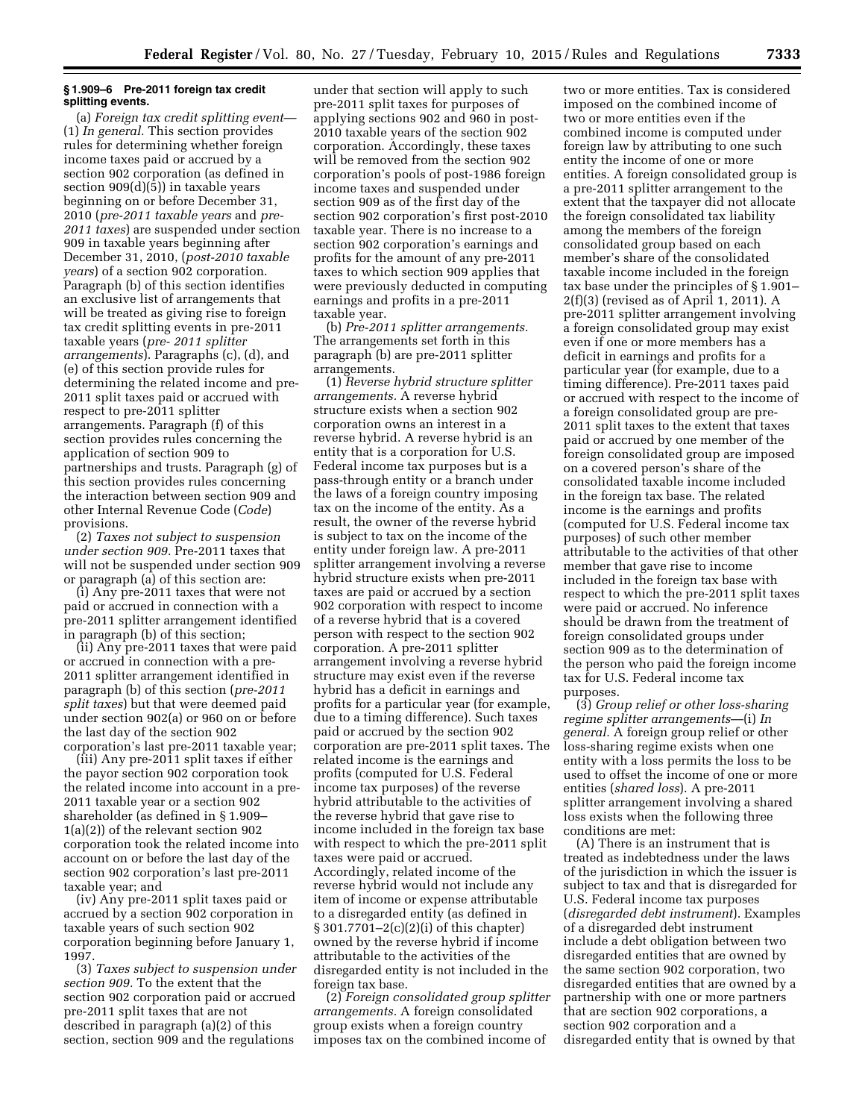#### **§ 1.909–6 Pre-2011 foreign tax credit splitting events.**

(a) *Foreign tax credit splitting event*— (1) *In general.* This section provides rules for determining whether foreign income taxes paid or accrued by a section 902 corporation (as defined in section 909(d)(5)) in taxable years beginning on or before December 31, 2010 (*pre-2011 taxable years* and *pre-2011 taxes*) are suspended under section 909 in taxable years beginning after December 31, 2010, (*post-2010 taxable years*) of a section 902 corporation. Paragraph (b) of this section identifies an exclusive list of arrangements that will be treated as giving rise to foreign tax credit splitting events in pre-2011 taxable years (*pre- 2011 splitter arrangements*). Paragraphs (c), (d), and (e) of this section provide rules for determining the related income and pre-2011 split taxes paid or accrued with respect to pre-2011 splitter arrangements. Paragraph (f) of this section provides rules concerning the application of section 909 to partnerships and trusts. Paragraph (g) of this section provides rules concerning the interaction between section 909 and other Internal Revenue Code (*Code*) provisions.

(2) *Taxes not subject to suspension under section 909.* Pre-2011 taxes that will not be suspended under section 909 or paragraph (a) of this section are:

(i) Any pre-2011 taxes that were not paid or accrued in connection with a pre-2011 splitter arrangement identified in paragraph (b) of this section;

(ii) Any pre-2011 taxes that were paid or accrued in connection with a pre-2011 splitter arrangement identified in paragraph (b) of this section (*pre-2011 split taxes*) but that were deemed paid under section 902(a) or 960 on or before the last day of the section 902 corporation's last pre-2011 taxable year;

(iii) Any pre-2011 split taxes if either the payor section 902 corporation took the related income into account in a pre-2011 taxable year or a section 902 shareholder (as defined in § 1.909– 1(a)(2)) of the relevant section 902 corporation took the related income into account on or before the last day of the section 902 corporation's last pre-2011 taxable year; and

(iv) Any pre-2011 split taxes paid or accrued by a section 902 corporation in taxable years of such section 902 corporation beginning before January 1, 1997.

(3) *Taxes subject to suspension under section 909.* To the extent that the section 902 corporation paid or accrued pre-2011 split taxes that are not described in paragraph (a)(2) of this section, section 909 and the regulations

under that section will apply to such pre-2011 split taxes for purposes of applying sections 902 and 960 in post-2010 taxable years of the section 902 corporation. Accordingly, these taxes will be removed from the section 902 corporation's pools of post-1986 foreign income taxes and suspended under section 909 as of the first day of the section 902 corporation's first post-2010 taxable year. There is no increase to a section 902 corporation's earnings and profits for the amount of any pre-2011 taxes to which section 909 applies that were previously deducted in computing earnings and profits in a pre-2011 taxable year.

(b) *Pre-2011 splitter arrangements.*  The arrangements set forth in this paragraph (b) are pre-2011 splitter arrangements.

(1) *Reverse hybrid structure splitter arrangements.* A reverse hybrid structure exists when a section 902 corporation owns an interest in a reverse hybrid. A reverse hybrid is an entity that is a corporation for U.S. Federal income tax purposes but is a pass-through entity or a branch under the laws of a foreign country imposing tax on the income of the entity. As a result, the owner of the reverse hybrid is subject to tax on the income of the entity under foreign law. A pre-2011 splitter arrangement involving a reverse hybrid structure exists when pre-2011 taxes are paid or accrued by a section 902 corporation with respect to income of a reverse hybrid that is a covered person with respect to the section 902 corporation. A pre-2011 splitter arrangement involving a reverse hybrid structure may exist even if the reverse hybrid has a deficit in earnings and profits for a particular year (for example, due to a timing difference). Such taxes paid or accrued by the section 902 corporation are pre-2011 split taxes. The related income is the earnings and profits (computed for U.S. Federal income tax purposes) of the reverse hybrid attributable to the activities of the reverse hybrid that gave rise to income included in the foreign tax base with respect to which the pre-2011 split taxes were paid or accrued. Accordingly, related income of the reverse hybrid would not include any item of income or expense attributable to a disregarded entity (as defined in § 301.7701–2(c)(2)(i) of this chapter) owned by the reverse hybrid if income attributable to the activities of the disregarded entity is not included in the foreign tax base.

(2) *Foreign consolidated group splitter arrangements.* A foreign consolidated group exists when a foreign country imposes tax on the combined income of

two or more entities. Tax is considered imposed on the combined income of two or more entities even if the combined income is computed under foreign law by attributing to one such entity the income of one or more entities. A foreign consolidated group is a pre-2011 splitter arrangement to the extent that the taxpayer did not allocate the foreign consolidated tax liability among the members of the foreign consolidated group based on each member's share of the consolidated taxable income included in the foreign tax base under the principles of § 1.901– 2(f)(3) (revised as of April 1, 2011). A pre-2011 splitter arrangement involving a foreign consolidated group may exist even if one or more members has a deficit in earnings and profits for a particular year (for example, due to a timing difference). Pre-2011 taxes paid or accrued with respect to the income of a foreign consolidated group are pre-2011 split taxes to the extent that taxes paid or accrued by one member of the foreign consolidated group are imposed on a covered person's share of the consolidated taxable income included in the foreign tax base. The related income is the earnings and profits (computed for U.S. Federal income tax purposes) of such other member attributable to the activities of that other member that gave rise to income included in the foreign tax base with respect to which the pre-2011 split taxes were paid or accrued. No inference should be drawn from the treatment of foreign consolidated groups under section 909 as to the determination of the person who paid the foreign income tax for U.S. Federal income tax purposes.

(3) *Group relief or other loss-sharing regime splitter arrangements*—(i) *In general.* A foreign group relief or other loss-sharing regime exists when one entity with a loss permits the loss to be used to offset the income of one or more entities (*shared loss*). A pre-2011 splitter arrangement involving a shared loss exists when the following three conditions are met:

(A) There is an instrument that is treated as indebtedness under the laws of the jurisdiction in which the issuer is subject to tax and that is disregarded for U.S. Federal income tax purposes (*disregarded debt instrument*). Examples of a disregarded debt instrument include a debt obligation between two disregarded entities that are owned by the same section 902 corporation, two disregarded entities that are owned by a partnership with one or more partners that are section 902 corporations, a section 902 corporation and a disregarded entity that is owned by that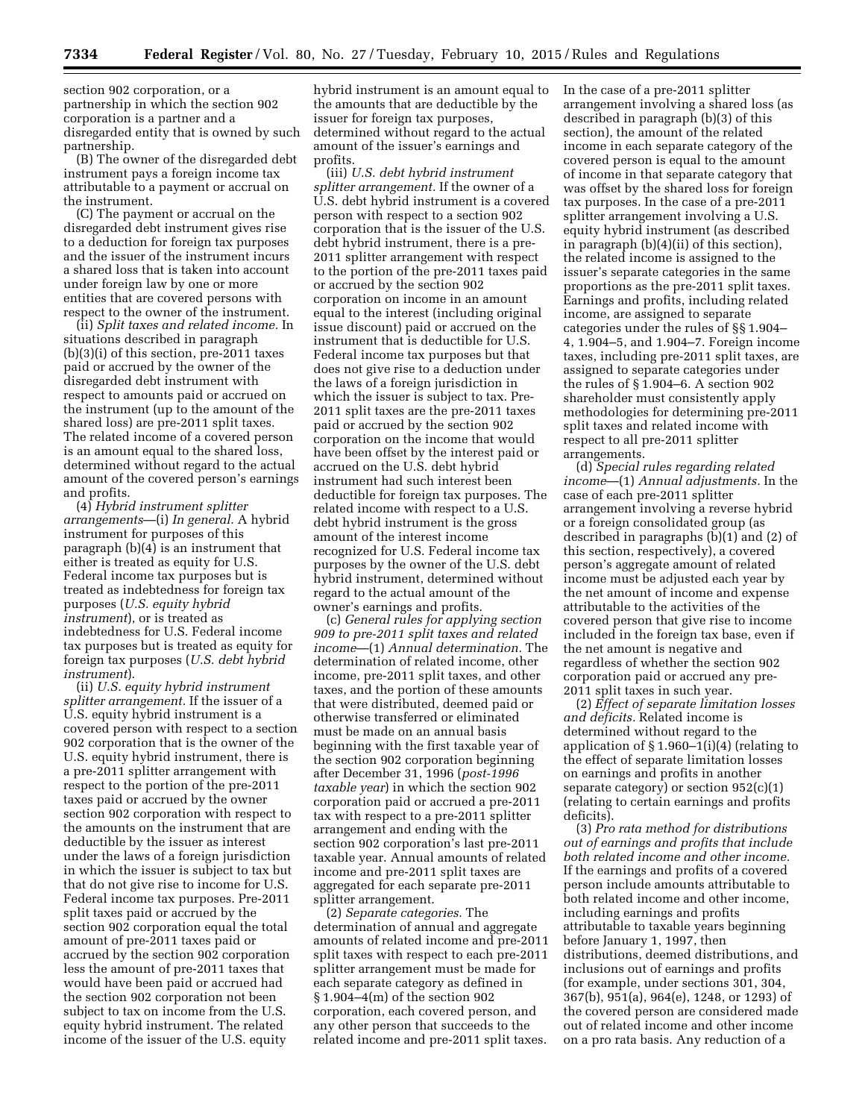section 902 corporation, or a partnership in which the section 902 corporation is a partner and a disregarded entity that is owned by such partnership.

(B) The owner of the disregarded debt instrument pays a foreign income tax attributable to a payment or accrual on the instrument.

(C) The payment or accrual on the disregarded debt instrument gives rise to a deduction for foreign tax purposes and the issuer of the instrument incurs a shared loss that is taken into account under foreign law by one or more entities that are covered persons with respect to the owner of the instrument.

(ii) *Split taxes and related income.* In situations described in paragraph (b)(3)(i) of this section, pre-2011 taxes paid or accrued by the owner of the disregarded debt instrument with respect to amounts paid or accrued on the instrument (up to the amount of the shared loss) are pre-2011 split taxes. The related income of a covered person is an amount equal to the shared loss, determined without regard to the actual amount of the covered person's earnings and profits.

(4) *Hybrid instrument splitter arrangements*—(i) *In general.* A hybrid instrument for purposes of this paragraph (b)(4) is an instrument that either is treated as equity for U.S. Federal income tax purposes but is treated as indebtedness for foreign tax purposes (*U.S. equity hybrid instrument*), or is treated as indebtedness for U.S. Federal income tax purposes but is treated as equity for foreign tax purposes (*U.S. debt hybrid instrument*).

(ii) *U.S. equity hybrid instrument splitter arrangement.* If the issuer of a U.S. equity hybrid instrument is a covered person with respect to a section 902 corporation that is the owner of the U.S. equity hybrid instrument, there is a pre-2011 splitter arrangement with respect to the portion of the pre-2011 taxes paid or accrued by the owner section 902 corporation with respect to the amounts on the instrument that are deductible by the issuer as interest under the laws of a foreign jurisdiction in which the issuer is subject to tax but that do not give rise to income for U.S. Federal income tax purposes. Pre-2011 split taxes paid or accrued by the section 902 corporation equal the total amount of pre-2011 taxes paid or accrued by the section 902 corporation less the amount of pre-2011 taxes that would have been paid or accrued had the section 902 corporation not been subject to tax on income from the U.S. equity hybrid instrument. The related income of the issuer of the U.S. equity

hybrid instrument is an amount equal to the amounts that are deductible by the issuer for foreign tax purposes, determined without regard to the actual amount of the issuer's earnings and profits.

(iii) *U.S. debt hybrid instrument splitter arrangement.* If the owner of a U.S. debt hybrid instrument is a covered person with respect to a section 902 corporation that is the issuer of the U.S. debt hybrid instrument, there is a pre-2011 splitter arrangement with respect to the portion of the pre-2011 taxes paid or accrued by the section 902 corporation on income in an amount equal to the interest (including original issue discount) paid or accrued on the instrument that is deductible for U.S. Federal income tax purposes but that does not give rise to a deduction under the laws of a foreign jurisdiction in which the issuer is subject to tax. Pre-2011 split taxes are the pre-2011 taxes paid or accrued by the section 902 corporation on the income that would have been offset by the interest paid or accrued on the U.S. debt hybrid instrument had such interest been deductible for foreign tax purposes. The related income with respect to a U.S. debt hybrid instrument is the gross amount of the interest income recognized for U.S. Federal income tax purposes by the owner of the U.S. debt hybrid instrument, determined without regard to the actual amount of the owner's earnings and profits.

(c) *General rules for applying section 909 to pre-2011 split taxes and related income*—(1) *Annual determination.* The determination of related income, other income, pre-2011 split taxes, and other taxes, and the portion of these amounts that were distributed, deemed paid or otherwise transferred or eliminated must be made on an annual basis beginning with the first taxable year of the section 902 corporation beginning after December 31, 1996 (*post-1996 taxable year*) in which the section 902 corporation paid or accrued a pre-2011 tax with respect to a pre-2011 splitter arrangement and ending with the section 902 corporation's last pre-2011 taxable year. Annual amounts of related income and pre-2011 split taxes are aggregated for each separate pre-2011 splitter arrangement.

(2) *Separate categories.* The determination of annual and aggregate amounts of related income and pre-2011 split taxes with respect to each pre-2011 splitter arrangement must be made for each separate category as defined in § 1.904–4(m) of the section 902 corporation, each covered person, and any other person that succeeds to the related income and pre-2011 split taxes.

In the case of a pre-2011 splitter arrangement involving a shared loss (as described in paragraph (b)(3) of this section), the amount of the related income in each separate category of the covered person is equal to the amount of income in that separate category that was offset by the shared loss for foreign tax purposes. In the case of a pre-2011 splitter arrangement involving a U.S. equity hybrid instrument (as described in paragraph (b)(4)(ii) of this section), the related income is assigned to the issuer's separate categories in the same proportions as the pre-2011 split taxes. Earnings and profits, including related income, are assigned to separate categories under the rules of §§ 1.904– 4, 1.904–5, and 1.904–7. Foreign income taxes, including pre-2011 split taxes, are assigned to separate categories under the rules of § 1.904–6. A section 902 shareholder must consistently apply methodologies for determining pre-2011 split taxes and related income with respect to all pre-2011 splitter arrangements.

(d) *Special rules regarding related income*—(1) *Annual adjustments.* In the case of each pre-2011 splitter arrangement involving a reverse hybrid or a foreign consolidated group (as described in paragraphs (b)(1) and (2) of this section, respectively), a covered person's aggregate amount of related income must be adjusted each year by the net amount of income and expense attributable to the activities of the covered person that give rise to income included in the foreign tax base, even if the net amount is negative and regardless of whether the section 902 corporation paid or accrued any pre-2011 split taxes in such year.

(2) *Effect of separate limitation losses and deficits.* Related income is determined without regard to the application of  $\S 1.960-1(i)(4)$  (relating to the effect of separate limitation losses on earnings and profits in another separate category) or section  $952(c)(1)$ (relating to certain earnings and profits deficits).

(3) *Pro rata method for distributions out of earnings and profits that include both related income and other income.*  If the earnings and profits of a covered person include amounts attributable to both related income and other income, including earnings and profits attributable to taxable years beginning before January 1, 1997, then distributions, deemed distributions, and inclusions out of earnings and profits (for example, under sections 301, 304, 367(b), 951(a), 964(e), 1248, or 1293) of the covered person are considered made out of related income and other income on a pro rata basis. Any reduction of a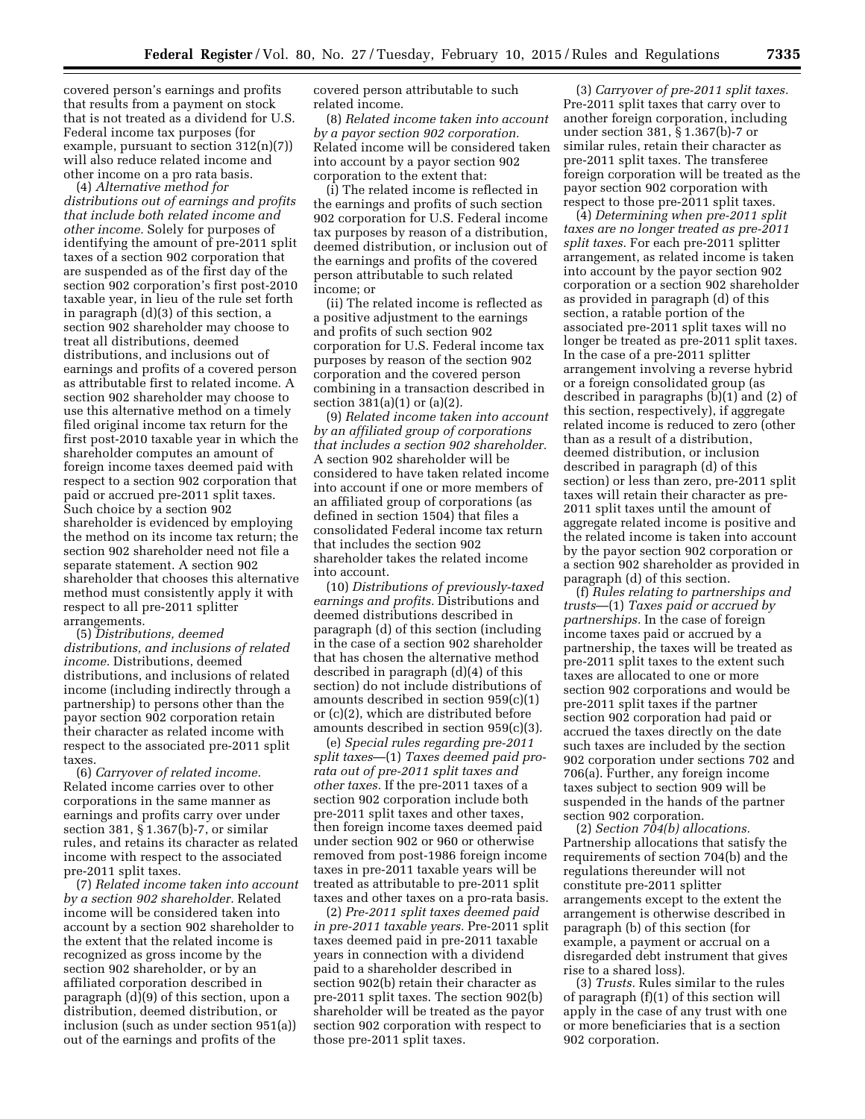covered person's earnings and profits that results from a payment on stock that is not treated as a dividend for U.S. Federal income tax purposes (for example, pursuant to section 312(n)(7)) will also reduce related income and other income on a pro rata basis.

(4) *Alternative method for distributions out of earnings and profits that include both related income and other income.* Solely for purposes of identifying the amount of pre-2011 split taxes of a section 902 corporation that are suspended as of the first day of the section 902 corporation's first post-2010 taxable year, in lieu of the rule set forth in paragraph (d)(3) of this section, a section 902 shareholder may choose to treat all distributions, deemed distributions, and inclusions out of earnings and profits of a covered person as attributable first to related income. A section 902 shareholder may choose to use this alternative method on a timely filed original income tax return for the first post-2010 taxable year in which the shareholder computes an amount of foreign income taxes deemed paid with respect to a section 902 corporation that paid or accrued pre-2011 split taxes. Such choice by a section 902 shareholder is evidenced by employing the method on its income tax return; the section 902 shareholder need not file a separate statement. A section 902 shareholder that chooses this alternative method must consistently apply it with respect to all pre-2011 splitter arrangements.

(5) *Distributions, deemed distributions, and inclusions of related income.* Distributions, deemed distributions, and inclusions of related income (including indirectly through a partnership) to persons other than the payor section 902 corporation retain their character as related income with respect to the associated pre-2011 split taxes.

(6) *Carryover of related income.*  Related income carries over to other corporations in the same manner as earnings and profits carry over under section 381, § 1.367(b)-7, or similar rules, and retains its character as related income with respect to the associated pre-2011 split taxes.

(7) *Related income taken into account by a section 902 shareholder.* Related income will be considered taken into account by a section 902 shareholder to the extent that the related income is recognized as gross income by the section 902 shareholder, or by an affiliated corporation described in paragraph (d)(9) of this section, upon a distribution, deemed distribution, or inclusion (such as under section 951(a)) out of the earnings and profits of the

covered person attributable to such related income.

(8) *Related income taken into account by a payor section 902 corporation.*  Related income will be considered taken into account by a payor section 902 corporation to the extent that:

(i) The related income is reflected in the earnings and profits of such section 902 corporation for U.S. Federal income tax purposes by reason of a distribution, deemed distribution, or inclusion out of the earnings and profits of the covered person attributable to such related income; or

(ii) The related income is reflected as a positive adjustment to the earnings and profits of such section 902 corporation for U.S. Federal income tax purposes by reason of the section 902 corporation and the covered person combining in a transaction described in section  $381(a)(1)$  or  $(a)(2)$ .

(9) *Related income taken into account by an affiliated group of corporations that includes a section 902 shareholder.*  A section 902 shareholder will be considered to have taken related income into account if one or more members of an affiliated group of corporations (as defined in section 1504) that files a consolidated Federal income tax return that includes the section 902 shareholder takes the related income into account.

(10) *Distributions of previously-taxed earnings and profits.* Distributions and deemed distributions described in paragraph (d) of this section (including in the case of a section 902 shareholder that has chosen the alternative method described in paragraph (d)(4) of this section) do not include distributions of amounts described in section 959(c)(1) or (c)(2), which are distributed before amounts described in section 959(c)(3).

(e) *Special rules regarding pre-2011 split taxes*—(1) *Taxes deemed paid prorata out of pre-2011 split taxes and other taxes.* If the pre-2011 taxes of a section 902 corporation include both pre-2011 split taxes and other taxes, then foreign income taxes deemed paid under section 902 or 960 or otherwise removed from post-1986 foreign income taxes in pre-2011 taxable years will be treated as attributable to pre-2011 split taxes and other taxes on a pro-rata basis.

(2) *Pre-2011 split taxes deemed paid in pre-2011 taxable years.* Pre-2011 split taxes deemed paid in pre-2011 taxable years in connection with a dividend paid to a shareholder described in section 902(b) retain their character as pre-2011 split taxes. The section 902(b) shareholder will be treated as the payor section 902 corporation with respect to those pre-2011 split taxes.

(3) *Carryover of pre-2011 split taxes.*  Pre-2011 split taxes that carry over to another foreign corporation, including under section 381, § 1.367(b)-7 or similar rules, retain their character as pre-2011 split taxes. The transferee foreign corporation will be treated as the payor section 902 corporation with respect to those pre-2011 split taxes.

(4) *Determining when pre-2011 split taxes are no longer treated as pre-2011 split taxes.* For each pre-2011 splitter arrangement, as related income is taken into account by the payor section 902 corporation or a section 902 shareholder as provided in paragraph (d) of this section, a ratable portion of the associated pre-2011 split taxes will no longer be treated as pre-2011 split taxes. In the case of a pre-2011 splitter arrangement involving a reverse hybrid or a foreign consolidated group (as described in paragraphs (b)(1) and (2) of this section, respectively), if aggregate related income is reduced to zero (other than as a result of a distribution, deemed distribution, or inclusion described in paragraph (d) of this section) or less than zero, pre-2011 split taxes will retain their character as pre-2011 split taxes until the amount of aggregate related income is positive and the related income is taken into account by the payor section 902 corporation or a section 902 shareholder as provided in paragraph (d) of this section.

(f) *Rules relating to partnerships and trusts*—(1) *Taxes paid or accrued by partnerships.* In the case of foreign income taxes paid or accrued by a partnership, the taxes will be treated as pre-2011 split taxes to the extent such taxes are allocated to one or more section 902 corporations and would be pre-2011 split taxes if the partner section 902 corporation had paid or accrued the taxes directly on the date such taxes are included by the section 902 corporation under sections 702 and 706(a). Further, any foreign income taxes subject to section 909 will be suspended in the hands of the partner section 902 corporation.

(2) *Section 704(b) allocations.*  Partnership allocations that satisfy the requirements of section 704(b) and the regulations thereunder will not constitute pre-2011 splitter arrangements except to the extent the arrangement is otherwise described in paragraph (b) of this section (for example, a payment or accrual on a disregarded debt instrument that gives rise to a shared loss).

(3) *Trusts.* Rules similar to the rules of paragraph (f)(1) of this section will apply in the case of any trust with one or more beneficiaries that is a section 902 corporation.